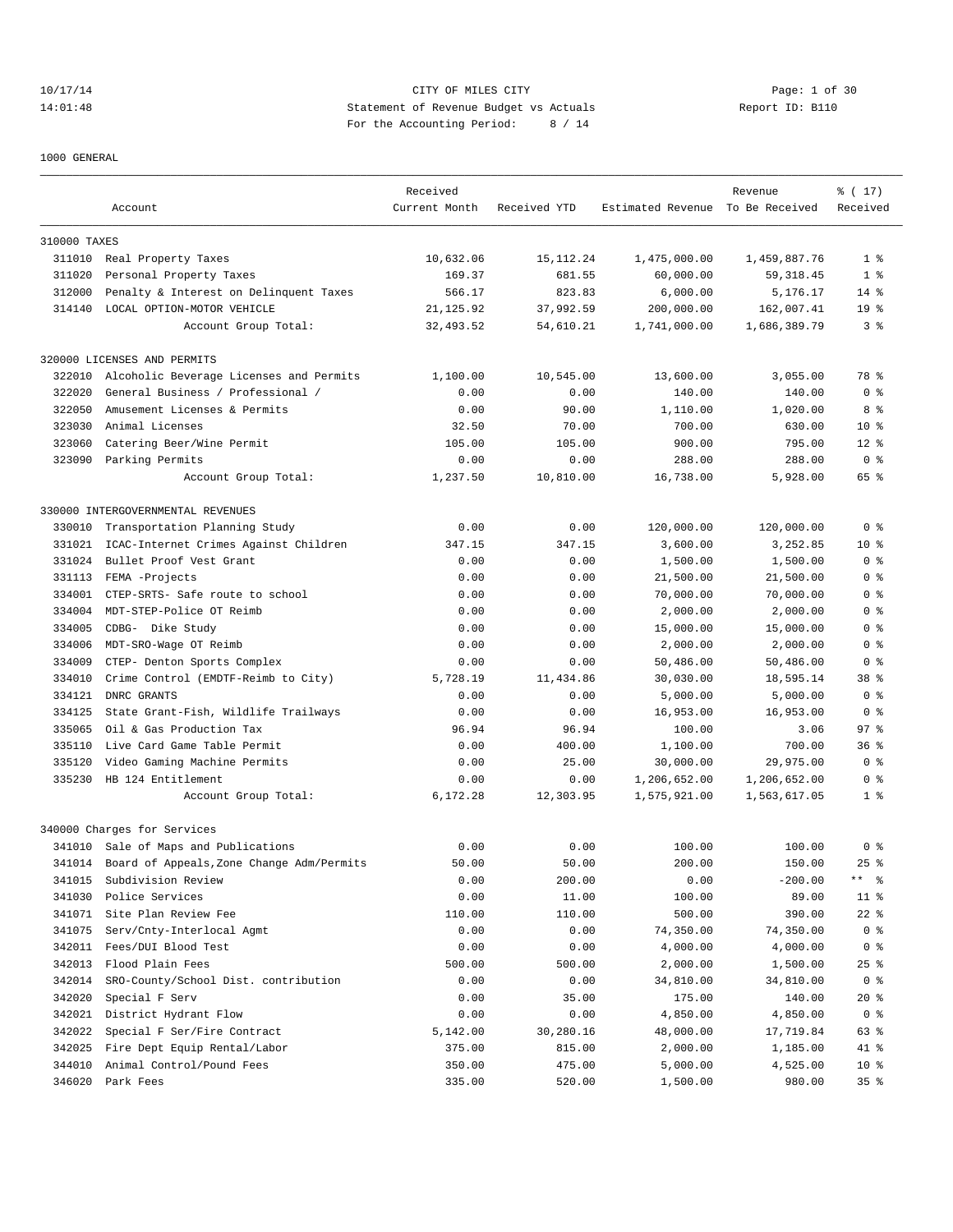# 10/17/14 CITY OF MILES CITY Page: 1 of 30 14:01:48 Statement of Revenue Budget vs Actuals Report ID: B110 For the Accounting Period: 8 / 14

1000 GENERAL

|              | Account                                   | Received<br>Current Month | Received YTD | Estimated Revenue To Be Received | Revenue      | % (17)<br>Received   |
|--------------|-------------------------------------------|---------------------------|--------------|----------------------------------|--------------|----------------------|
|              |                                           |                           |              |                                  |              |                      |
| 310000 TAXES |                                           |                           |              |                                  |              |                      |
| 311010       | Real Property Taxes                       | 10,632.06                 | 15, 112. 24  | 1,475,000.00                     | 1,459,887.76 | 1 <sup>8</sup>       |
| 311020       | Personal Property Taxes                   | 169.37                    | 681.55       | 60,000.00                        | 59, 318.45   | 1 <sup>8</sup>       |
| 312000       | Penalty & Interest on Delinquent Taxes    | 566.17                    | 823.83       | 6,000.00                         | 5,176.17     | $14*$                |
| 314140       | LOCAL OPTION-MOTOR VEHICLE                | 21, 125.92                | 37,992.59    | 200,000.00                       | 162,007.41   | 19 <sup>°</sup>      |
|              | Account Group Total:                      | 32,493.52                 | 54,610.21    | 1,741,000.00                     | 1,686,389.79 | 3 <sup>8</sup>       |
|              | 320000 LICENSES AND PERMITS               |                           |              |                                  |              |                      |
| 322010       | Alcoholic Beverage Licenses and Permits   | 1,100.00                  | 10,545.00    | 13,600.00                        | 3,055.00     | 78 %                 |
| 322020       | General Business / Professional /         | 0.00                      | 0.00         | 140.00                           | 140.00       | 0 <sup>8</sup>       |
| 322050       | Amusement Licenses & Permits              | 0.00                      | 90.00        | 1,110.00                         | 1,020.00     | 8 %                  |
| 323030       | Animal Licenses                           | 32.50                     | 70.00        | 700.00                           | 630.00       | $10*$                |
| 323060       | Catering Beer/Wine Permit                 | 105.00                    | 105.00       | 900.00                           | 795.00       | $12*$                |
|              | 323090 Parking Permits                    | 0.00                      | 0.00         | 288.00                           | 288.00       | 0 <sup>8</sup>       |
|              | Account Group Total:                      | 1,237.50                  | 10,810.00    | 16,738.00                        | 5,928.00     | 65 %                 |
|              | 330000 INTERGOVERNMENTAL REVENUES         |                           |              |                                  |              |                      |
| 330010       | Transportation Planning Study             | 0.00                      | 0.00         | 120,000.00                       | 120,000.00   | 0 <sup>8</sup>       |
| 331021       | ICAC-Internet Crimes Against Children     | 347.15                    | 347.15       | 3,600.00                         | 3,252.85     | $10*$                |
| 331024       | Bullet Proof Vest Grant                   | 0.00                      | 0.00         | 1,500.00                         | 1,500.00     | 0 <sup>8</sup>       |
| 331113       | FEMA -Projects                            | 0.00                      | 0.00         | 21,500.00                        | 21,500.00    | 0 %                  |
| 334001       | CTEP-SRTS- Safe route to school           | 0.00                      | 0.00         | 70,000.00                        | 70,000.00    | 0 <sup>8</sup>       |
| 334004       | MDT-STEP-Police OT Reimb                  | 0.00                      | 0.00         | 2,000.00                         | 2,000.00     | 0 <sup>8</sup>       |
| 334005       | CDBG- Dike Study                          | 0.00                      | 0.00         | 15,000.00                        | 15,000.00    | 0 <sup>8</sup>       |
| 334006       | MDT-SRO-Wage OT Reimb                     | 0.00                      | 0.00         | 2,000.00                         | 2,000.00     | 0 <sup>8</sup>       |
| 334009       | CTEP- Denton Sports Complex               | 0.00                      | 0.00         | 50,486.00                        | 50,486.00    | 0 <sup>8</sup>       |
| 334010       | Crime Control (EMDTF-Reimb to City)       | 5,728.19                  | 11,434.86    | 30,030.00                        | 18,595.14    | 38 <sup>8</sup>      |
| 334121       | DNRC GRANTS                               | 0.00                      | 0.00         | 5,000.00                         | 5,000.00     | 0 <sup>8</sup>       |
| 334125       | State Grant-Fish, Wildlife Trailways      | 0.00                      | 0.00         | 16,953.00                        | 16,953.00    | 0 <sup>8</sup>       |
| 335065       | Oil & Gas Production Tax                  | 96.94                     | 96.94        | 100.00                           | 3.06         | 97%                  |
| 335110       | Live Card Game Table Permit               | 0.00                      | 400.00       | 1,100.00                         | 700.00       | 36 <sup>8</sup>      |
| 335120       | Video Gaming Machine Permits              | 0.00                      | 25.00        | 30,000.00                        | 29,975.00    | 0 <sup>8</sup>       |
| 335230       | HB 124 Entitlement                        | 0.00                      | 0.00         | 1,206,652.00                     | 1,206,652.00 | 0 <sup>8</sup>       |
|              | Account Group Total:                      | 6,172.28                  | 12,303.95    | 1,575,921.00                     | 1,563,617.05 | 1 <sup>8</sup>       |
|              | 340000 Charges for Services               |                           |              |                                  |              |                      |
|              |                                           |                           |              |                                  |              |                      |
|              | 341010 Sale of Maps and Publications      | 0.00                      | 0.00         | 100.00                           | 100.00       | 0 <sup>8</sup>       |
| 341014       | Board of Appeals, Zone Change Adm/Permits | 50.00                     | 50.00        | 200.00                           | 150.00       | $25$ %               |
| 341015       | Subdivision Review                        | 0.00                      | 200.00       | 0.00                             | $-200.00$    | $***$ $ \frac{6}{9}$ |
| 341030       | Police Services                           | 0.00                      | 11.00        | 100.00                           | 89.00        | $11$ %               |
| 341071       | Site Plan Review Fee                      | 110.00                    | 110.00       | 500.00                           | 390.00       | $22$ %               |
| 341075       | Serv/Cnty-Interlocal Agmt                 | 0.00                      | 0.00         | 74,350.00                        | 74,350.00    | 0 <sub>8</sub>       |
| 342011       | Fees/DUI Blood Test                       | 0.00                      | 0.00         | 4,000.00                         | 4,000.00     | 0 <sub>8</sub>       |
| 342013       | Flood Plain Fees                          | 500.00                    | 500.00       | 2,000.00                         | 1,500.00     | $25$ %               |
| 342014       | SRO-County/School Dist. contribution      | 0.00                      | 0.00         | 34,810.00                        | 34,810.00    | 0 <sup>8</sup>       |
| 342020       | Special F Serv                            | 0.00                      | 35.00        | 175.00                           | 140.00       | $20*$                |
| 342021       | District Hydrant Flow                     | 0.00                      | 0.00         | 4,850.00                         | 4,850.00     | 0 <sup>8</sup>       |
| 342022       | Special F Ser/Fire Contract               | 5,142.00                  | 30,280.16    | 48,000.00                        | 17,719.84    | 63 %                 |
| 342025       | Fire Dept Equip Rental/Labor              | 375.00                    | 815.00       | 2,000.00                         | 1,185.00     | 41 %                 |
| 344010       | Animal Control/Pound Fees                 | 350.00                    | 475.00       | 5,000.00                         | 4,525.00     | $10*$                |
|              | 346020 Park Fees                          | 335.00                    | 520.00       | 1,500.00                         | 980.00       | 35%                  |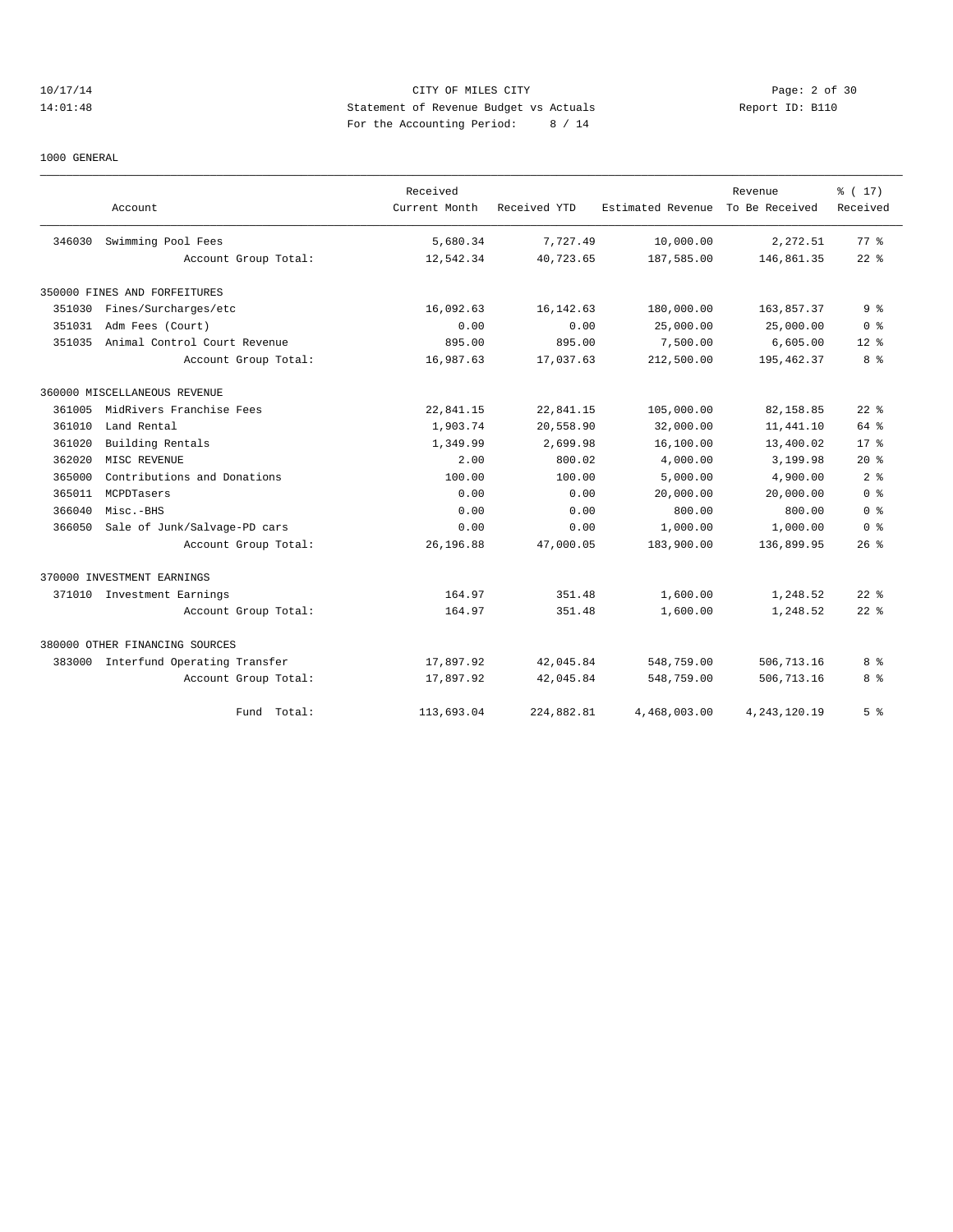# 10/17/14 CITY OF MILES CITY Page: 2 of 30 14:01:48 Statement of Revenue Budget vs Actuals Report ID: B110 For the Accounting Period: 8 / 14

1000 GENERAL

|        |                                | Received      |              |                   | Revenue         | % (17)         |
|--------|--------------------------------|---------------|--------------|-------------------|-----------------|----------------|
|        | Account                        | Current Month | Received YTD | Estimated Revenue | To Be Received  | Received       |
| 346030 | Swimming Pool Fees             | 5,680.34      | 7.727.49     | 10,000.00         | 2,272.51        | 77.8           |
|        | Account Group Total:           | 12,542.34     | 40,723.65    | 187,585.00        | 146,861.35      | $22$ $%$       |
|        | 350000 FINES AND FORFEITURES   |               |              |                   |                 |                |
| 351030 | Fines/Surcharges/etc           | 16,092.63     | 16, 142.63   | 180,000.00        | 163,857.37      | 9 <sup>8</sup> |
| 351031 | Adm Fees (Court)               | 0.00          | 0.00         | 25,000.00         | 25,000.00       | 0 <sup>8</sup> |
| 351035 | Animal Control Court Revenue   | 895.00        | 895.00       | 7,500.00          | 6,605.00        | $12*$          |
|        | Account Group Total:           | 16,987.63     | 17,037.63    | 212,500.00        | 195,462.37      | 8%             |
|        | 360000 MISCELLANEOUS REVENUE   |               |              |                   |                 |                |
| 361005 | MidRivers Franchise Fees       | 22,841.15     | 22,841.15    | 105,000.00        | 82,158.85       | $22$ $%$       |
| 361010 | Land Rental                    | 1,903.74      | 20,558.90    | 32,000.00         | 11,441.10       | 64 %           |
| 361020 | Building Rentals               | 1,349.99      | 2,699.98     | 16,100.00         | 13,400.02       | $17*$          |
| 362020 | MISC REVENUE                   | 2.00          | 800.02       | 4,000.00          | 3,199.98        | $20*$          |
| 365000 | Contributions and Donations    | 100.00        | 100.00       | 5,000.00          | 4,900.00        | 2 <sup>8</sup> |
| 365011 | MCPDTasers                     | 0.00          | 0.00         | 20,000.00         | 20,000.00       | 0 <sup>8</sup> |
| 366040 | Misc.-BHS                      | 0.00          | 0.00         | 800.00            | 800.00          | 0 <sup>8</sup> |
| 366050 | Sale of Junk/Salvage-PD cars   | 0.00          | 0.00         | 1,000.00          | 1,000.00        | 0 <sup>8</sup> |
|        | Account Group Total:           | 26,196.88     | 47,000.05    | 183,900.00        | 136,899.95      | $26$ %         |
|        | 370000 INVESTMENT EARNINGS     |               |              |                   |                 |                |
|        | 371010 Investment Earnings     | 164.97        | 351.48       | 1,600.00          | 1,248.52        | $22$ $%$       |
|        | Account Group Total:           | 164.97        | 351.48       | 1,600.00          | 1,248.52        | $22$ $%$       |
|        | 380000 OTHER FINANCING SOURCES |               |              |                   |                 |                |
| 383000 | Interfund Operating Transfer   | 17,897.92     | 42,045.84    | 548,759.00        | 506,713.16      | 8 %            |
|        | Account Group Total:           | 17,897.92     | 42,045.84    | 548,759.00        | 506,713.16      | 8%             |
|        | Total:<br>Fund                 | 113,693.04    | 224,882.81   | 4,468,003.00      | 4, 243, 120. 19 | 5 <sup>8</sup> |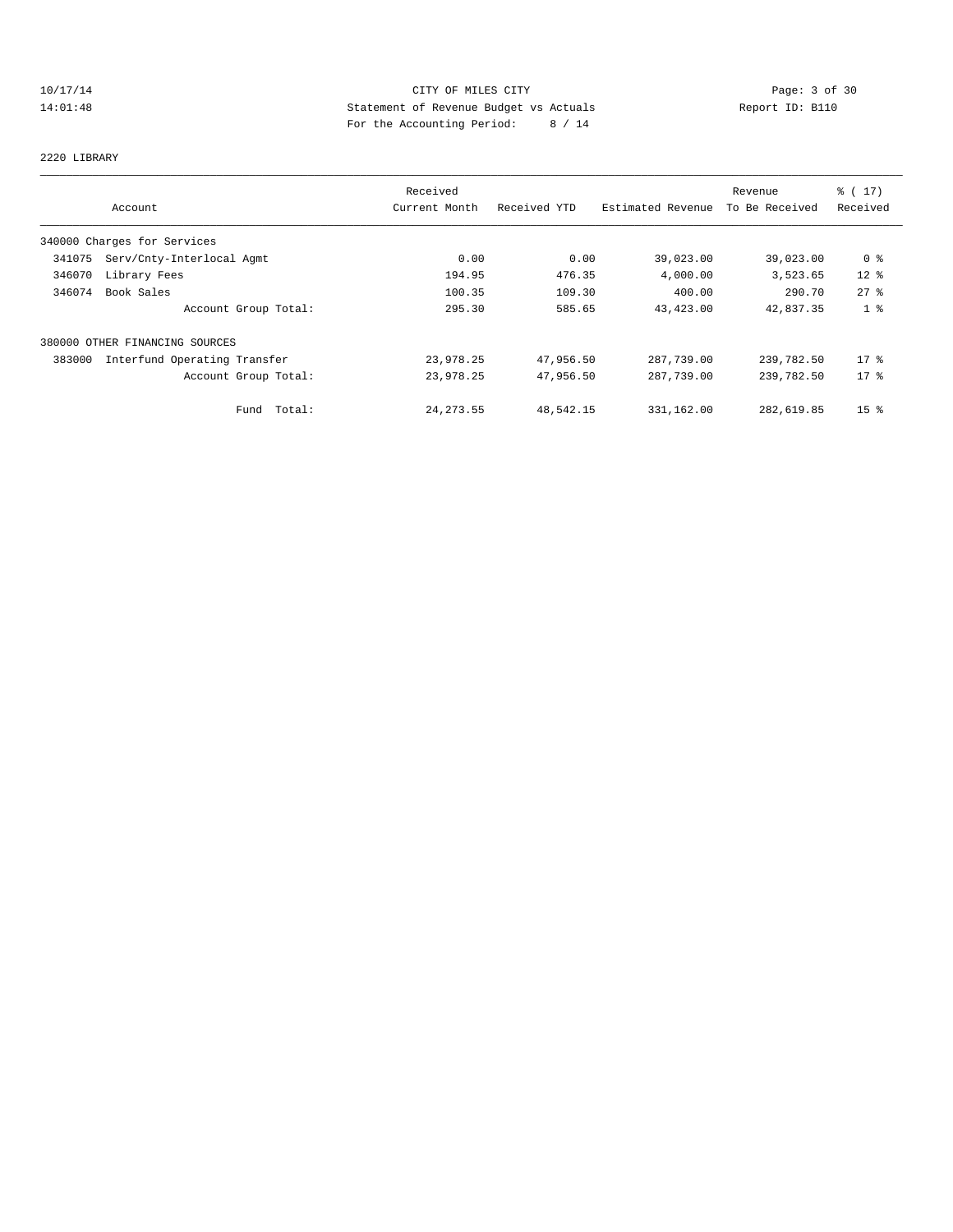# 10/17/14 CITY OF MILES CITY CHES CITY Page: 3 of 30<br>14:01:48 Statement of Revenue Budget vs Actuals Report ID: B110 14:01:48 Statement of Revenue Budget vs Actuals Report ID: B110 For the Accounting Period: 8 / 14

#### 2220 LIBRARY

|        |                                | Received      |              |                   | Revenue        | % (17)          |
|--------|--------------------------------|---------------|--------------|-------------------|----------------|-----------------|
|        | Account                        | Current Month | Received YTD | Estimated Revenue | To Be Received | Received        |
|        | 340000 Charges for Services    |               |              |                   |                |                 |
| 341075 | Serv/Cnty-Interlocal Agmt      | 0.00          | 0.00         | 39,023.00         | 39,023.00      | 0 <sup>8</sup>  |
| 346070 | Library Fees                   | 194.95        | 476.35       | 4,000.00          | 3,523.65       | $12$ %          |
| 346074 | Book Sales                     | 100.35        | 109.30       | 400.00            | 290.70         | $27$ $%$        |
|        | Account Group Total:           | 295.30        | 585.65       | 43, 423.00        | 42,837.35      | 1 <sup>°</sup>  |
|        | 380000 OTHER FINANCING SOURCES |               |              |                   |                |                 |
| 383000 | Interfund Operating Transfer   | 23,978.25     | 47,956.50    | 287,739.00        | 239,782.50     | $17*$           |
|        | Account Group Total:           | 23,978.25     | 47,956.50    | 287,739.00        | 239,782.50     | $17*$           |
|        | Total:<br>Fund                 | 24, 273.55    | 48,542.15    | 331,162.00        | 282,619.85     | 15 <sup>8</sup> |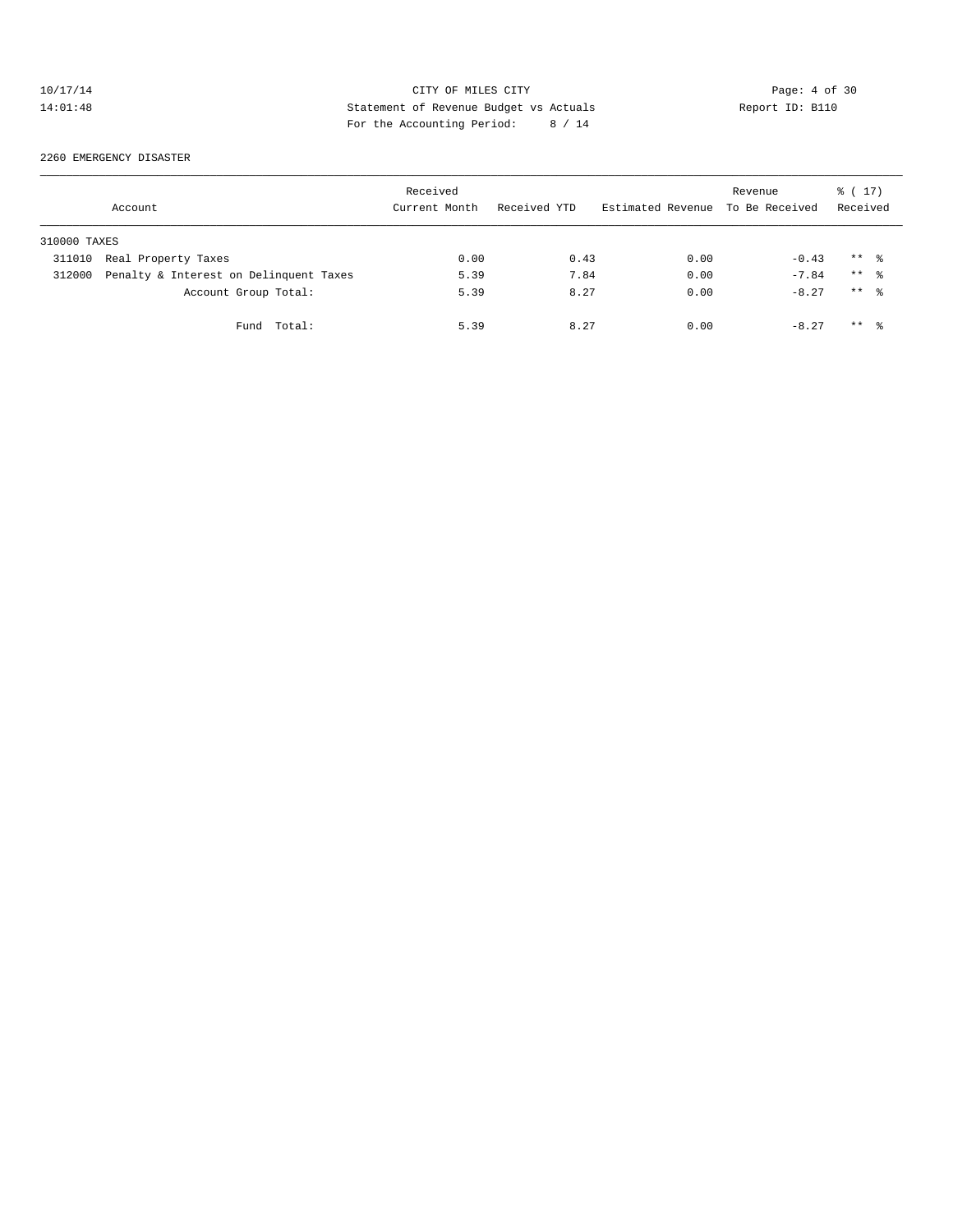# 10/17/14 CITY OF MILES CITY Page: 4 of 30<br>14:01:48 Statement of Revenue Budget vs Actuals Report ID: B110<br>14:01:48 Pay the Accumulate Device: 2011 14:01:48 Statement of Revenue Budget vs Actuals Report ID: B110 For the Accounting Period: 8 / 14

#### 2260 EMERGENCY DISASTER

|              | Account                                | Received<br>Current Month | Received YTD | Estimated Revenue | Revenue<br>To Be Received | $\frac{1}{6}$ ( 17)<br>Received |
|--------------|----------------------------------------|---------------------------|--------------|-------------------|---------------------------|---------------------------------|
| 310000 TAXES |                                        |                           |              |                   |                           |                                 |
| 311010       | Real Property Taxes                    | 0.00                      | 0.43         | 0.00              | $-0.43$                   | $***$ %                         |
| 312000       | Penalty & Interest on Delinquent Taxes | 5.39                      | 7.84         | 0.00              | $-7.84$                   | $***$ %                         |
|              | Account Group Total:                   | 5.39                      | 8.27         | 0.00              | $-8.27$                   | $***$ $\approx$                 |
|              | Fund Total:                            | 5.39                      | 8.27         | 0.00              | $-8.27$                   | $***$ %                         |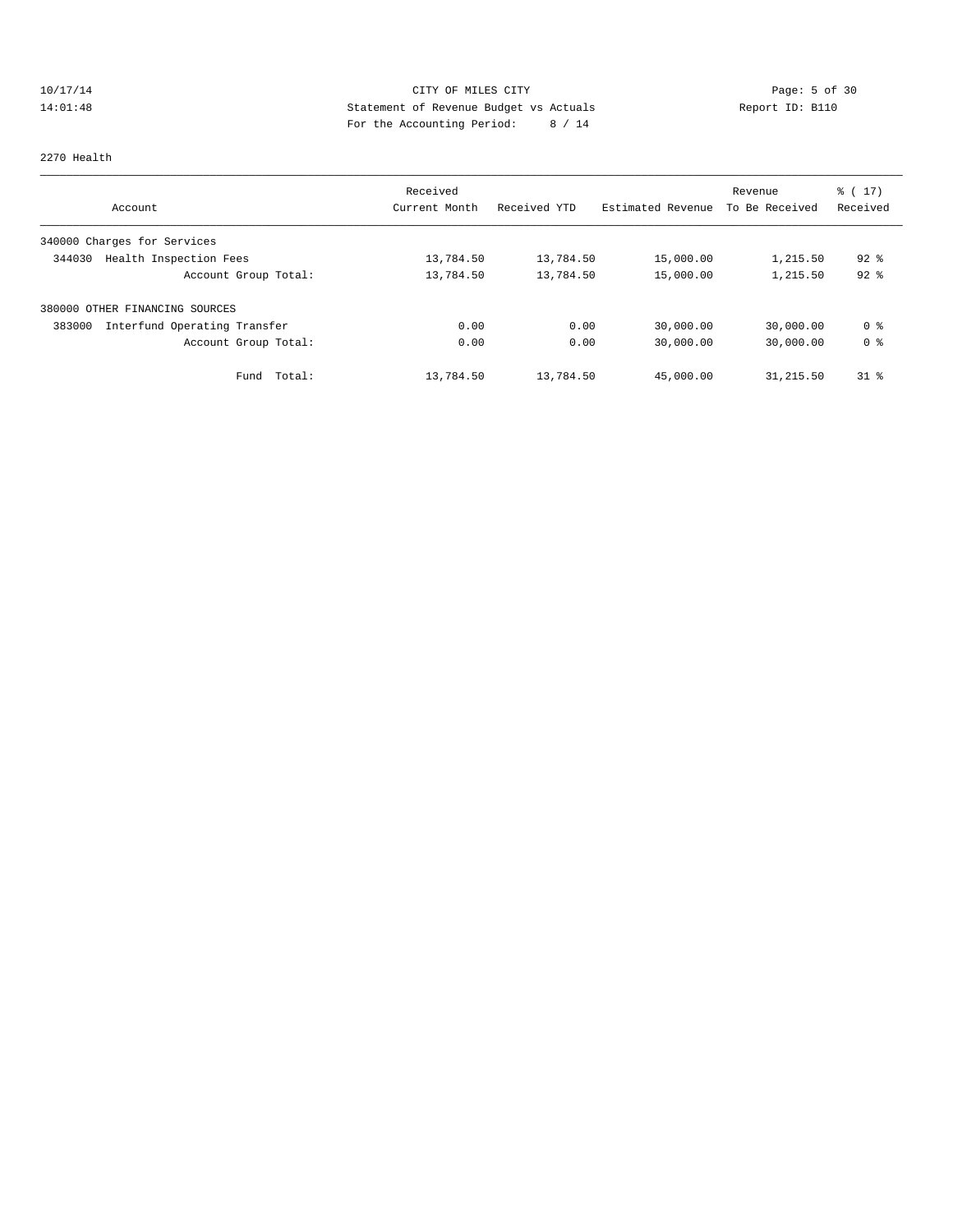# 10/17/14 CITY OF MILES CITY CHES CITY Page: 5 of 30<br>14:01:48 Statement of Revenue Budget vs Actuals Report ID: B110 14:01:48 Statement of Revenue Budget vs Actuals Report ID: B110 For the Accounting Period: 8 / 14

#### 2270 Health

| Account                                | Received<br>Current Month | Received YTD | Estimated Revenue | Revenue<br>To Be Received | $\frac{1}{6}$ (17)<br>Received |
|----------------------------------------|---------------------------|--------------|-------------------|---------------------------|--------------------------------|
| 340000 Charges for Services            |                           |              |                   |                           |                                |
| Health Inspection Fees<br>344030       | 13,784.50                 | 13,784.50    | 15,000.00         | 1,215.50                  | $92$ $%$                       |
| Account Group Total:                   | 13,784.50                 | 13,784.50    | 15,000.00         | 1,215.50                  | $92$ $%$                       |
| OTHER FINANCING SOURCES<br>380000      |                           |              |                   |                           |                                |
| Interfund Operating Transfer<br>383000 | 0.00                      | 0.00         | 30,000.00         | 30,000.00                 | 0 <sup>8</sup>                 |
| Account Group Total:                   | 0.00                      | 0.00         | 30,000.00         | 30,000.00                 | 0 <sup>8</sup>                 |
| Total:<br>Fund                         | 13,784.50                 | 13,784.50    | 45,000.00         | 31, 215.50                | $31$ $\approx$                 |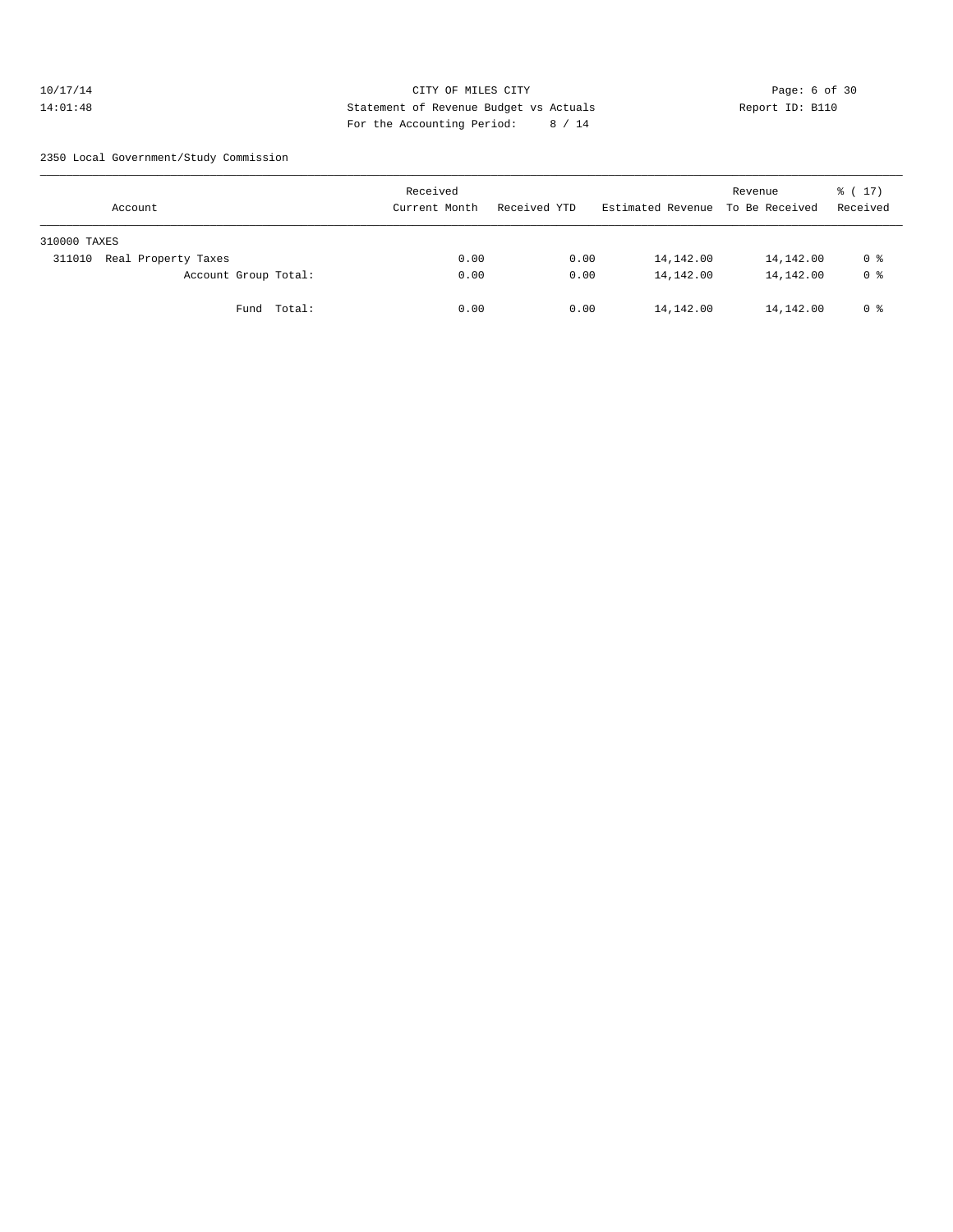#### 10/17/14 CITY OF MILES CITY Page: 6 of 30 14:01:48 Statement of Revenue Budget vs Actuals Report ID: B110 For the Accounting Period: 8 / 14

2350 Local Government/Study Commission

| Account                       | Received<br>Current Month | Received YTD | Estimated Revenue | Revenue<br>To Be Received | % (17)<br>Received |
|-------------------------------|---------------------------|--------------|-------------------|---------------------------|--------------------|
| 310000 TAXES                  |                           |              |                   |                           |                    |
| Real Property Taxes<br>311010 | 0.00                      | 0.00         | 14,142.00         | 14,142.00                 | 0 %                |
| Account Group Total:          | 0.00                      | 0.00         | 14,142.00         | 14,142.00                 | 0 <sup>8</sup>     |
| Fund Total:                   | 0.00                      | 0.00         | 14,142.00         | 14,142.00                 | 0 %                |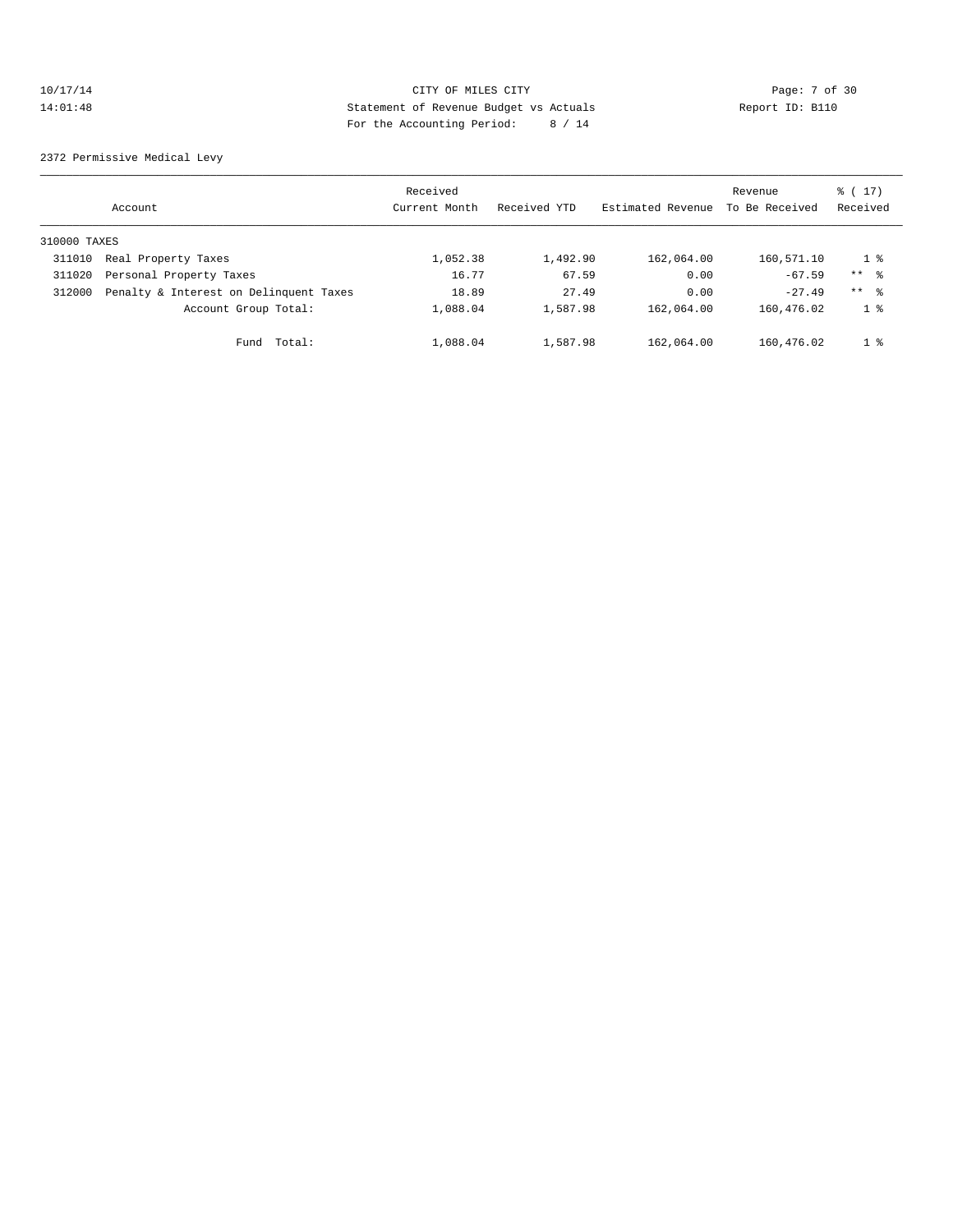# 10/17/14 CITY OF MILES CITY Page: 7 of 30 14:01:48 Statement of Revenue Budget vs Actuals Report ID: B110 For the Accounting Period: 8 / 14

2372 Permissive Medical Levy

|              | Account                                | Received<br>Current Month | Received YTD | Estimated Revenue | Revenue<br>To Be Received | $\frac{1}{6}$ ( 17 )<br>Received |
|--------------|----------------------------------------|---------------------------|--------------|-------------------|---------------------------|----------------------------------|
| 310000 TAXES |                                        |                           |              |                   |                           |                                  |
| 311010       | Real Property Taxes                    | 1,052.38                  | 1,492.90     | 162,064.00        | 160,571.10                | $1 \circ$                        |
| 311020       | Personal Property Taxes                | 16.77                     | 67.59        | 0.00              | $-67.59$                  | $***$ $\approx$                  |
| 312000       | Penalty & Interest on Delinquent Taxes | 18.89                     | 27.49        | 0.00              | $-27.49$                  | $***$ 8                          |
|              | Account Group Total:                   | 1,088.04                  | 1,587.98     | 162,064.00        | 160,476.02                | 1 <sup>8</sup>                   |
|              | Total:<br>Fund                         | 1,088.04                  | 1,587.98     | 162,064.00        | 160,476.02                | $1 \degree$                      |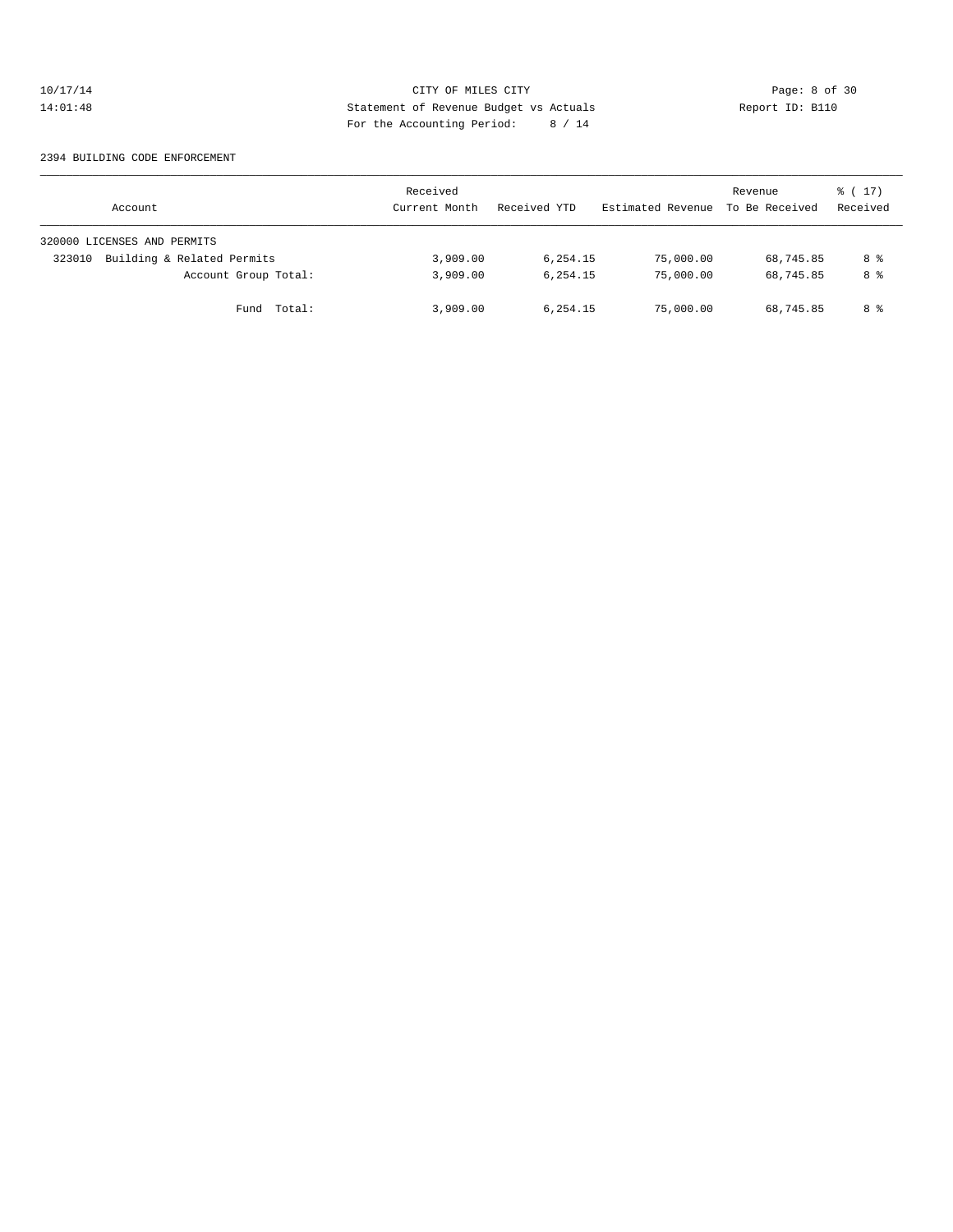# 10/17/14 CITY OF MILES CITY Page: 8 of 30<br>14:01:48 Statement of Revenue Budget vs Actuals Report ID: B110<br>14:01:48 Pay the Accumulate Device: 2011 14:01:48 Statement of Revenue Budget vs Actuals Report ID: B110 For the Accounting Period: 8 / 14

#### 2394 BUILDING CODE ENFORCEMENT

| Account                              | Received<br>Current Month | Received YTD | Estimated Revenue | Revenue<br>To Be Received | $\frac{1}{6}$ (17)<br>Received |
|--------------------------------------|---------------------------|--------------|-------------------|---------------------------|--------------------------------|
| 320000 LICENSES AND PERMITS          |                           |              |                   |                           |                                |
| Building & Related Permits<br>323010 | 3,909.00                  | 6,254.15     | 75,000.00         | 68,745.85                 | 8 %                            |
| Account Group Total:                 | 3,909.00                  | 6,254.15     | 75,000.00         | 68,745.85                 | 8 %                            |
| Fund Total:                          | 3,909.00                  | 6,254.15     | 75,000.00         | 68,745.85                 | 8 %                            |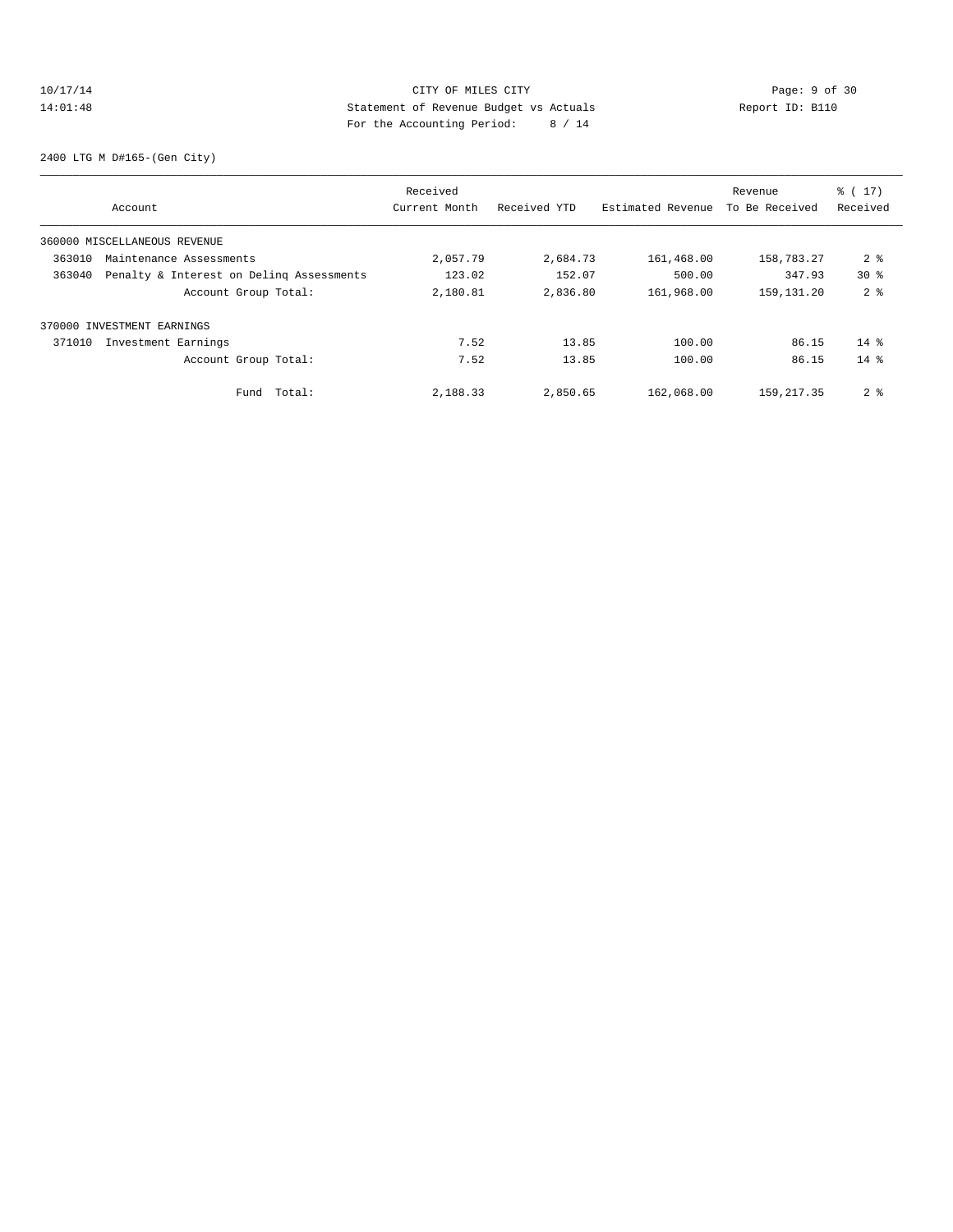# 10/17/14 CITY OF MILES CITY Page: 9 of 30<br>14:01:48 Statement of Revenue Budget vs Actuals Report ID: B110<br>14:01:48 Page: 114:01:48 14:01:48 Statement of Revenue Budget vs Actuals Report ID: B110 For the Accounting Period: 8 / 14

2400 LTG M D#165-(Gen City)

|        |                                          | Received      |              |                   | Revenue        | $\frac{1}{6}$ ( 17 ) |
|--------|------------------------------------------|---------------|--------------|-------------------|----------------|----------------------|
|        | Account                                  | Current Month | Received YTD | Estimated Revenue | To Be Received | Received             |
|        | 360000 MISCELLANEOUS REVENUE             |               |              |                   |                |                      |
| 363010 | Maintenance Assessments                  | 2,057.79      | 2,684.73     | 161,468.00        | 158,783.27     | 2 <sub>8</sub>       |
| 363040 | Penalty & Interest on Deling Assessments | 123.02        | 152.07       | 500.00            | 347.93         | 30 <sup>8</sup>      |
|        | Account Group Total:                     | 2,180.81      | 2,836.80     | 161,968.00        | 159,131.20     | 2 <sup>8</sup>       |
|        | 370000 INVESTMENT EARNINGS               |               |              |                   |                |                      |
| 371010 | Investment Earnings                      | 7.52          | 13.85        | 100.00            | 86.15          | $14*$                |
|        | Account Group Total:                     | 7.52          | 13.85        | 100.00            | 86.15          | $14*$                |
|        | Total:<br>Fund                           | 2,188.33      | 2,850.65     | 162,068.00        | 159, 217.35    | 2 <sup>8</sup>       |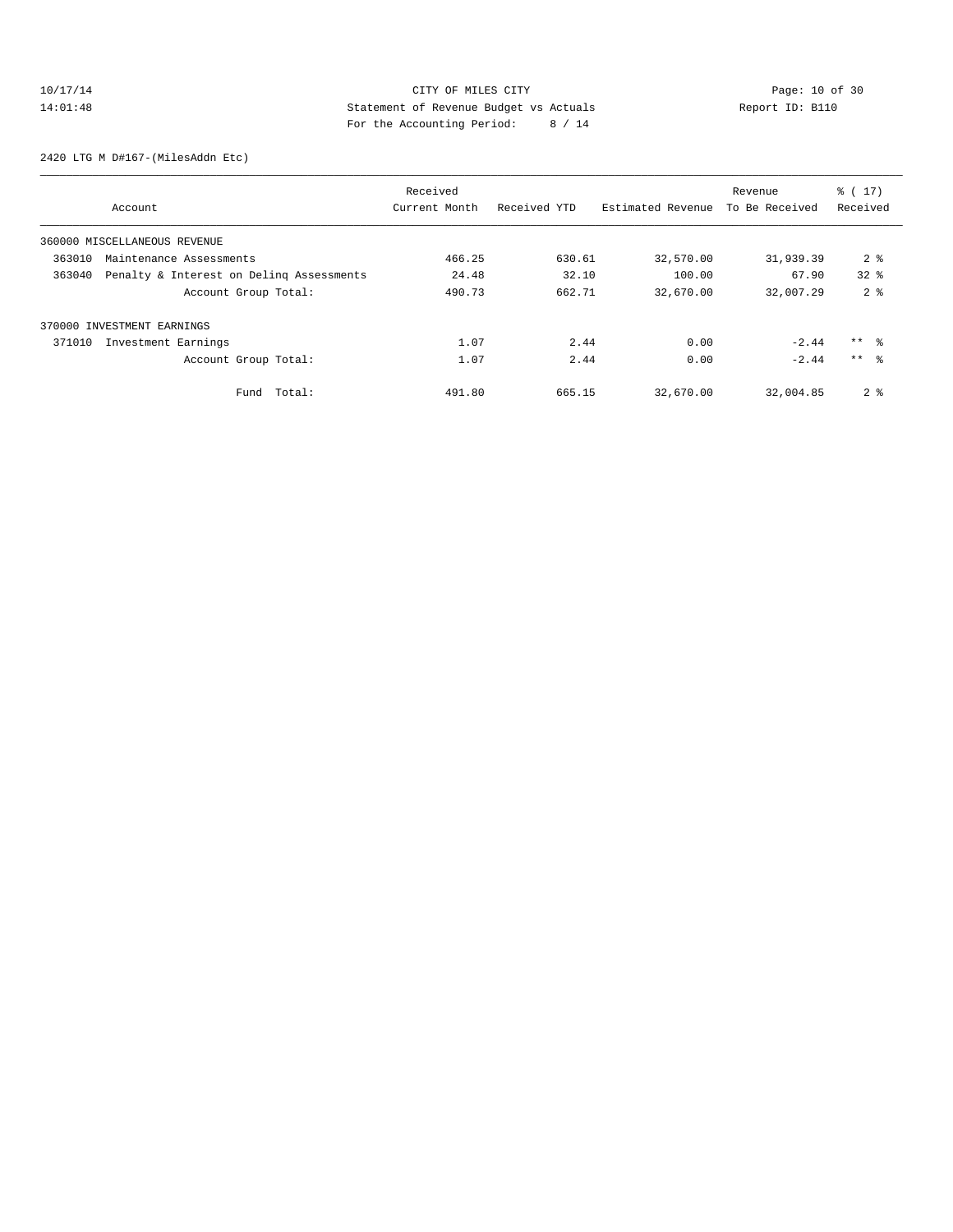# 10/17/14 Page: 10 of 30 14:01:48 Statement of Revenue Budget vs Actuals Report ID: B110 For the Accounting Period: 8 / 14

2420 LTG M D#167-(MilesAddn Etc)

|        |                                          | Received      |              |                   | Revenue        | $\frac{1}{6}$ ( 17 ) |
|--------|------------------------------------------|---------------|--------------|-------------------|----------------|----------------------|
|        | Account                                  | Current Month | Received YTD | Estimated Revenue | To Be Received | Received             |
|        | 360000 MISCELLANEOUS REVENUE             |               |              |                   |                |                      |
| 363010 | Maintenance Assessments                  | 466.25        | 630.61       | 32,570.00         | 31,939.39      | 2 <sup>8</sup>       |
| 363040 | Penalty & Interest on Deling Assessments | 24.48         | 32.10        | 100.00            | 67.90          | $32*$                |
|        | Account Group Total:                     | 490.73        | 662.71       | 32,670.00         | 32,007.29      | 2 <sup>8</sup>       |
|        | 370000 INVESTMENT EARNINGS               |               |              |                   |                |                      |
| 371010 | Investment Earnings                      | 1.07          | 2.44         | 0.00              | $-2.44$        | $***$ %              |
|        | Account Group Total:                     | 1.07          | 2.44         | 0.00              | $-2.44$        | $***$ $\approx$      |
|        | Total:<br>Fund                           | 491.80        | 665.15       | 32,670.00         | 32,004.85      | 2 <sub>8</sub>       |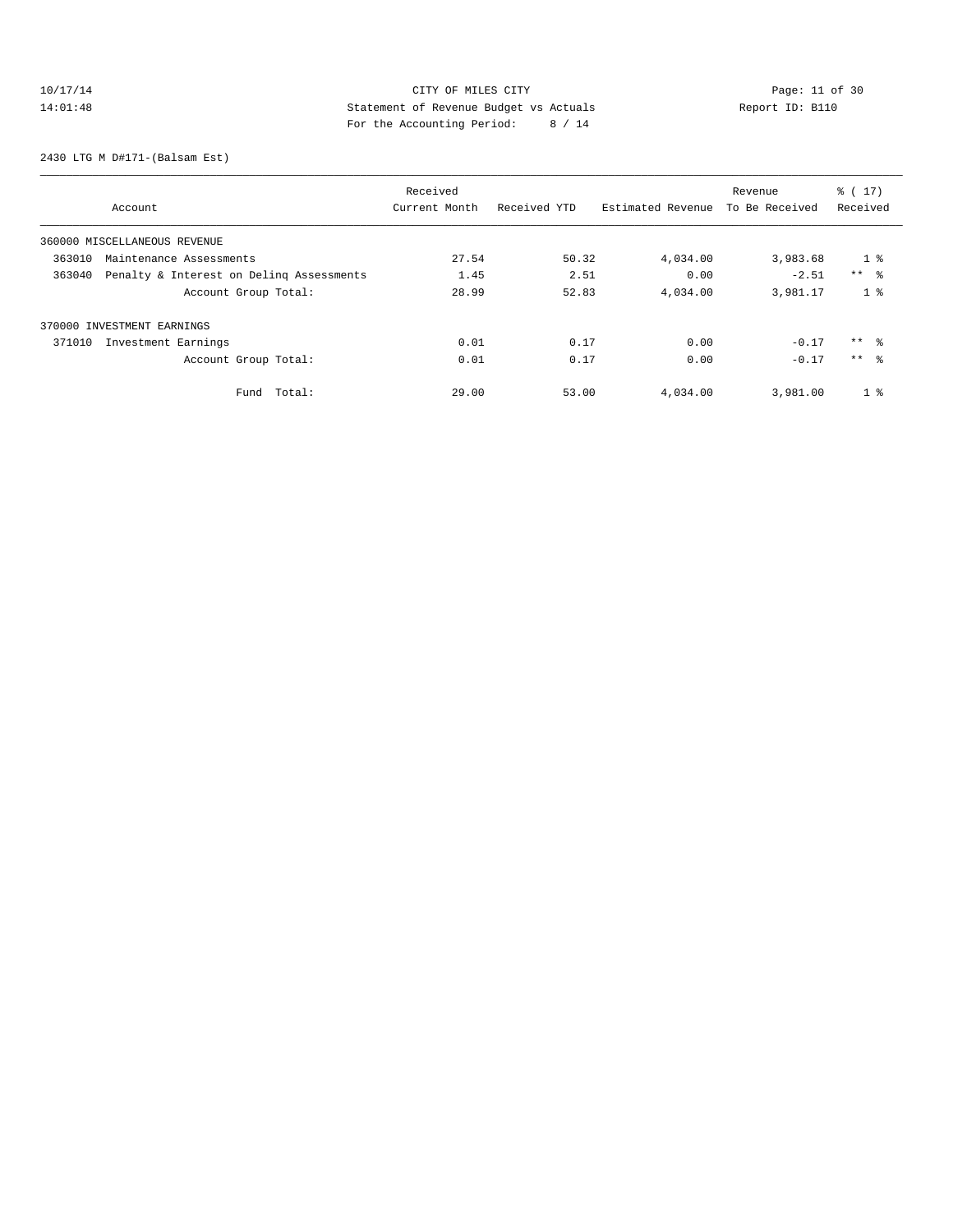# 10/17/14 Page: 11 of 30 14:01:48 Statement of Revenue Budget vs Actuals Report ID: B110<br>Report ID: B110 For the Accounting Period: 8 / 14

2430 LTG M D#171-(Balsam Est)

|                                                    |                      | Received      |              |                   | Revenue        | $\frac{1}{6}$ ( 17 ) |  |
|----------------------------------------------------|----------------------|---------------|--------------|-------------------|----------------|----------------------|--|
| Account                                            |                      | Current Month | Received YTD | Estimated Revenue | To Be Received | Received             |  |
| 360000 MISCELLANEOUS REVENUE                       |                      |               |              |                   |                |                      |  |
| 363010<br>Maintenance Assessments                  |                      | 27.54         | 50.32        | 4,034.00          | 3,983.68       | 1 <sup>8</sup>       |  |
| Penalty & Interest on Deling Assessments<br>363040 |                      | 1.45          | 2.51         | 0.00              | $-2.51$        | $***$ $ -$           |  |
|                                                    | Account Group Total: | 28.99         | 52.83        | 4,034.00          | 3,981.17       | 1 <sup>8</sup>       |  |
| 370000 INVESTMENT EARNINGS                         |                      |               |              |                   |                |                      |  |
| 371010<br>Investment Earnings                      |                      | 0.01          | 0.17         | 0.00              | $-0.17$        | $***$ $\approx$      |  |
|                                                    | Account Group Total: | 0.01          | 0.17         | 0.00              | $-0.17$        | $***$ %              |  |
|                                                    | Fund Total:          | 29.00         | 53.00        | 4,034.00          | 3,981.00       | 1 <sup>8</sup>       |  |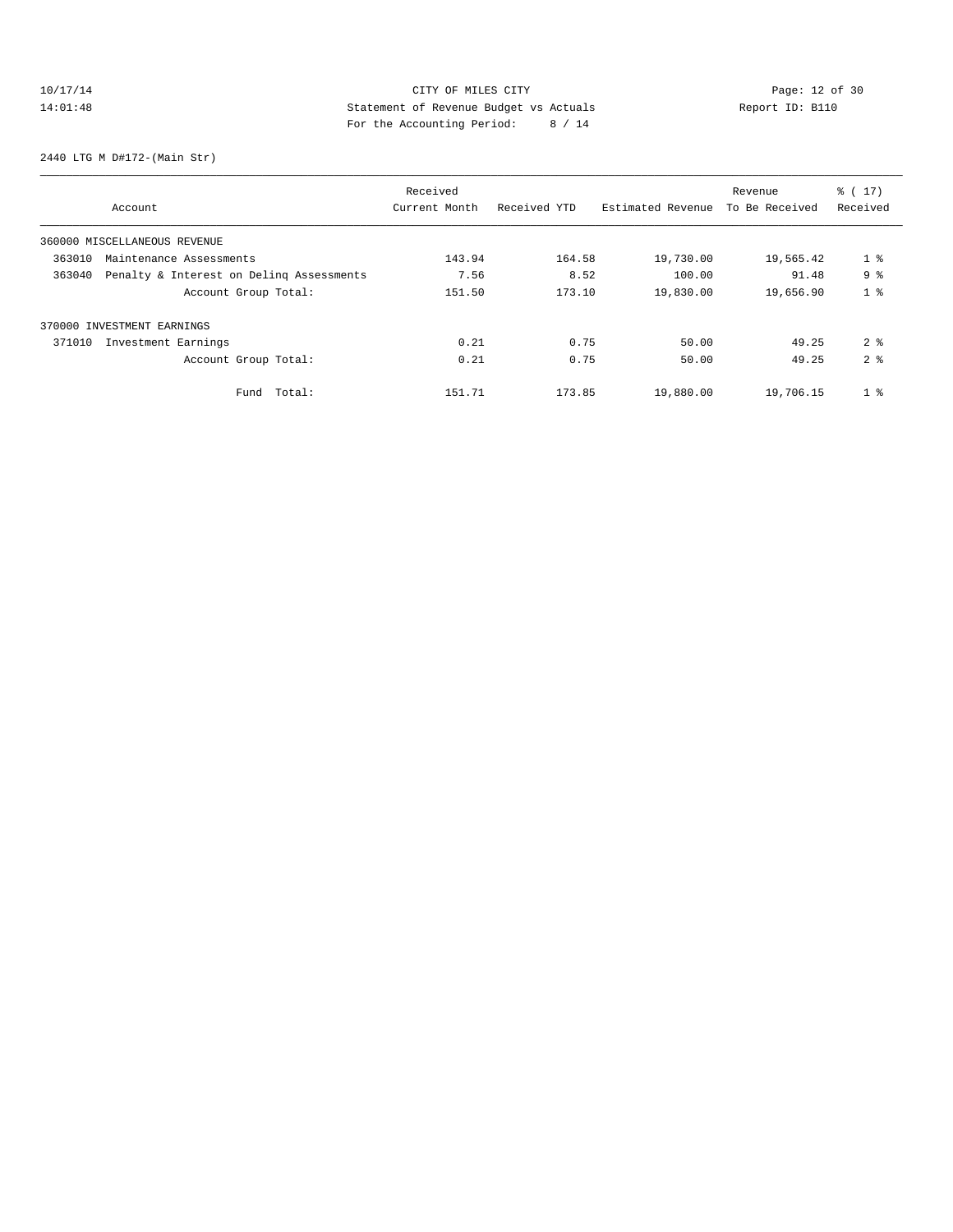# 10/17/14 Page: 12 of 30 14:01:48 Statement of Revenue Budget vs Actuals Report ID: B110<br>Report ID: B110 For the Accounting Period: 8 / 14

2440 LTG M D#172-(Main Str)

|        |                                          | Received      |              |                   | Revenue        | $\frac{1}{6}$ ( 17 ) |
|--------|------------------------------------------|---------------|--------------|-------------------|----------------|----------------------|
|        | Account                                  | Current Month | Received YTD | Estimated Revenue | To Be Received | Received             |
|        | 360000 MISCELLANEOUS REVENUE             |               |              |                   |                |                      |
| 363010 | Maintenance Assessments                  | 143.94        | 164.58       | 19,730.00         | 19,565.42      | 1 <sup>8</sup>       |
| 363040 | Penalty & Interest on Deling Assessments | 7.56          | 8.52         | 100.00            | 91.48          | 9 <sup>8</sup>       |
|        | Account Group Total:                     | 151.50        | 173.10       | 19,830.00         | 19,656.90      | 1 <sup>8</sup>       |
|        | 370000 INVESTMENT EARNINGS               |               |              |                   |                |                      |
| 371010 | Investment Earnings                      | 0.21          | 0.75         | 50.00             | 49.25          | 2 <sup>8</sup>       |
|        | Account Group Total:                     | 0.21          | 0.75         | 50.00             | 49.25          | 2 <sup>8</sup>       |
|        | Total:<br>Fund                           | 151.71        | 173.85       | 19,880.00         | 19,706.15      | 1 <sup>8</sup>       |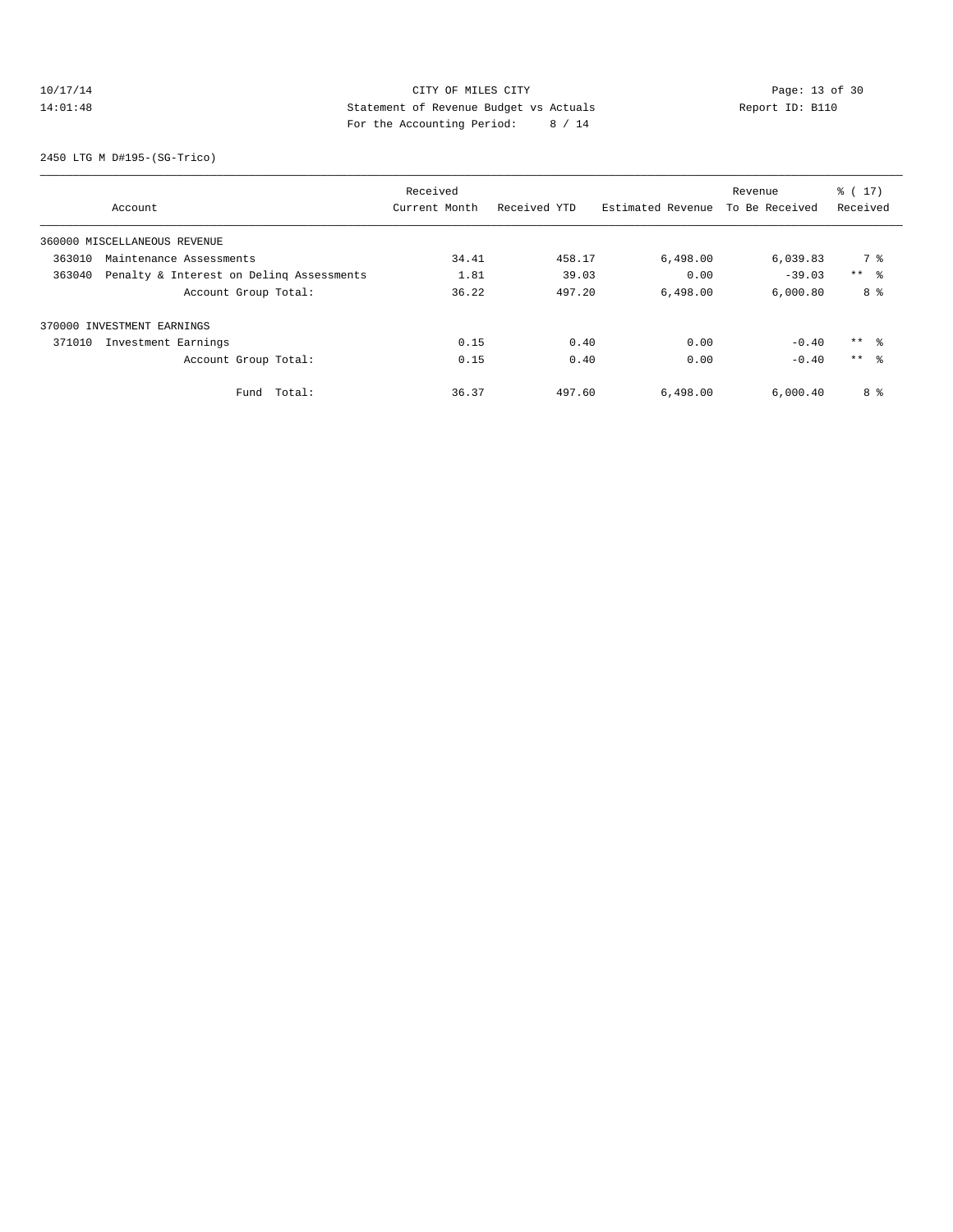# 10/17/14 Page: 13 of 30 14:01:48 Statement of Revenue Budget vs Actuals Report ID: B110 For the Accounting Period: 8 / 14

2450 LTG M D#195-(SG-Trico)

|        |                                          | Received      |              |                   | Revenue        | $\frac{1}{6}$ ( 17 ) |
|--------|------------------------------------------|---------------|--------------|-------------------|----------------|----------------------|
|        | Account                                  | Current Month | Received YTD | Estimated Revenue | To Be Received | Received             |
|        | 360000 MISCELLANEOUS REVENUE             |               |              |                   |                |                      |
| 363010 | Maintenance Assessments                  | 34.41         | 458.17       | 6,498.00          | 6,039.83       | 7 %                  |
| 363040 | Penalty & Interest on Deling Assessments | 1.81          | 39.03        | 0.00              | $-39.03$       | $***$ $\approx$      |
|        | Account Group Total:                     | 36.22         | 497.20       | 6,498.00          | 6.000.80       | 8 %                  |
|        | 370000 INVESTMENT EARNINGS               |               |              |                   |                |                      |
| 371010 | Investment Earnings                      | 0.15          | 0.40         | 0.00              | $-0.40$        | $***$ %              |
|        | Account Group Total:                     | 0.15          | 0.40         | 0.00              | $-0.40$        | $***$ $\approx$      |
|        | Total:<br>Fund                           | 36.37         | 497.60       | 6,498.00          | 6,000.40       | 8 %                  |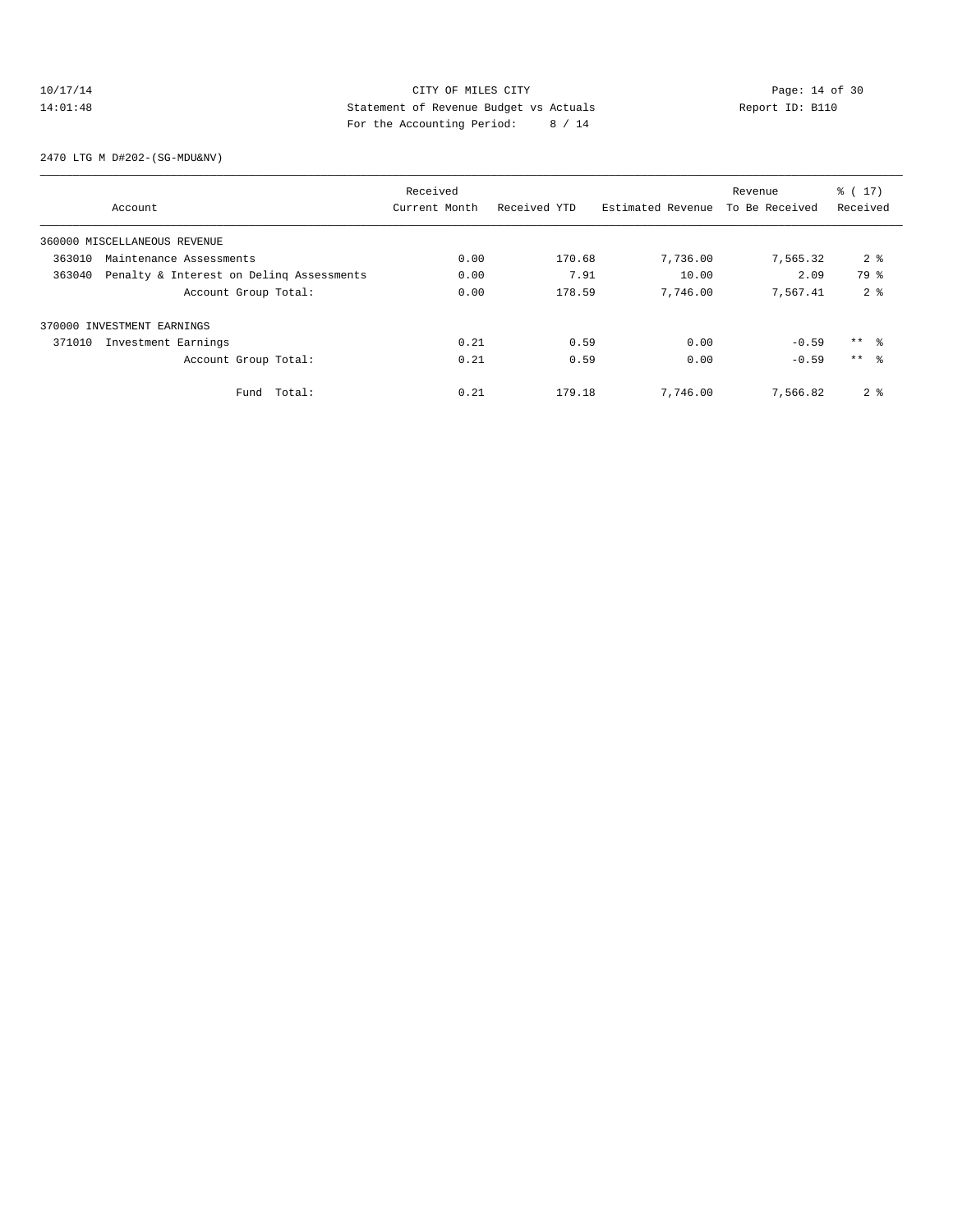# 10/17/14 Page: 14 of 30 14:01:48 Statement of Revenue Budget vs Actuals Report ID: B110 For the Accounting Period: 8 / 14

2470 LTG M D#202-(SG-MDU&NV)

|        |                                          | Received      |              |                   | Revenue        | $\frac{1}{6}$ ( 17 ) |
|--------|------------------------------------------|---------------|--------------|-------------------|----------------|----------------------|
|        | Account                                  | Current Month | Received YTD | Estimated Revenue | To Be Received | Received             |
|        | 360000 MISCELLANEOUS REVENUE             |               |              |                   |                |                      |
| 363010 | Maintenance Assessments                  | 0.00          | 170.68       | 7,736.00          | 7,565.32       | 2 <sup>8</sup>       |
| 363040 | Penalty & Interest on Deling Assessments | 0.00          | 7.91         | 10.00             | 2.09           | 79 %                 |
|        | Account Group Total:                     | 0.00          | 178.59       | 7.746.00          | 7.567.41       | 2 <sup>8</sup>       |
|        | 370000 INVESTMENT EARNINGS               |               |              |                   |                |                      |
| 371010 | Investment Earnings                      | 0.21          | 0.59         | 0.00              | $-0.59$        | $***$ %              |
|        | Account Group Total:                     | 0.21          | 0.59         | 0.00              | $-0.59$        | $***$ 8              |
|        | Total:<br>Fund                           | 0.21          | 179.18       | 7,746.00          | 7,566.82       | 2 <sub>8</sub>       |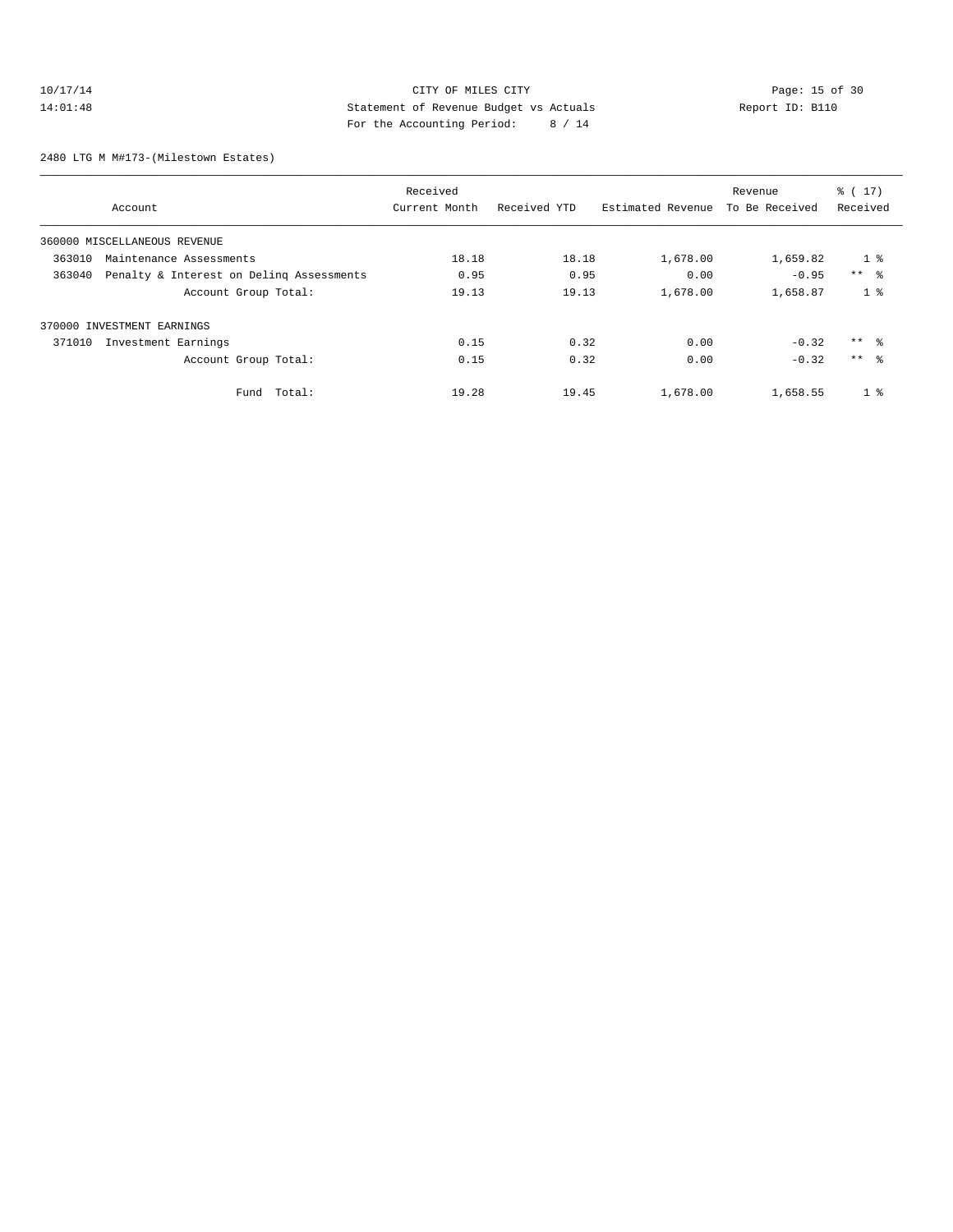# 10/17/14 Page: 15 of 30 14:01:48 Statement of Revenue Budget vs Actuals Report ID: B110 For the Accounting Period: 8 / 14

2480 LTG M M#173-(Milestown Estates)

|                                                    | Received      |              |                   | Revenue        | $\frac{1}{6}$ ( 17 ) |
|----------------------------------------------------|---------------|--------------|-------------------|----------------|----------------------|
| Account                                            | Current Month | Received YTD | Estimated Revenue | To Be Received | Received             |
| 360000 MISCELLANEOUS REVENUE                       |               |              |                   |                |                      |
| 363010<br>Maintenance Assessments                  | 18.18         | 18.18        | 1,678.00          | 1,659.82       | 1 <sup>8</sup>       |
| Penalty & Interest on Deling Assessments<br>363040 | 0.95          | 0.95         | 0.00              | $-0.95$        | $***$ $ -$           |
| Account Group Total:                               | 19.13         | 19.13        | 1,678.00          | 1,658.87       | 1 <sup>8</sup>       |
| 370000 INVESTMENT EARNINGS                         |               |              |                   |                |                      |
| 371010<br>Investment Earnings                      | 0.15          | 0.32         | 0.00              | $-0.32$        | $***$ %              |
| Account Group Total:                               | 0.15          | 0.32         | 0.00              | $-0.32$        | $***$ $\approx$      |
| Fund Total:                                        | 19.28         | 19.45        | 1,678.00          | 1,658.55       | 1 <sup>8</sup>       |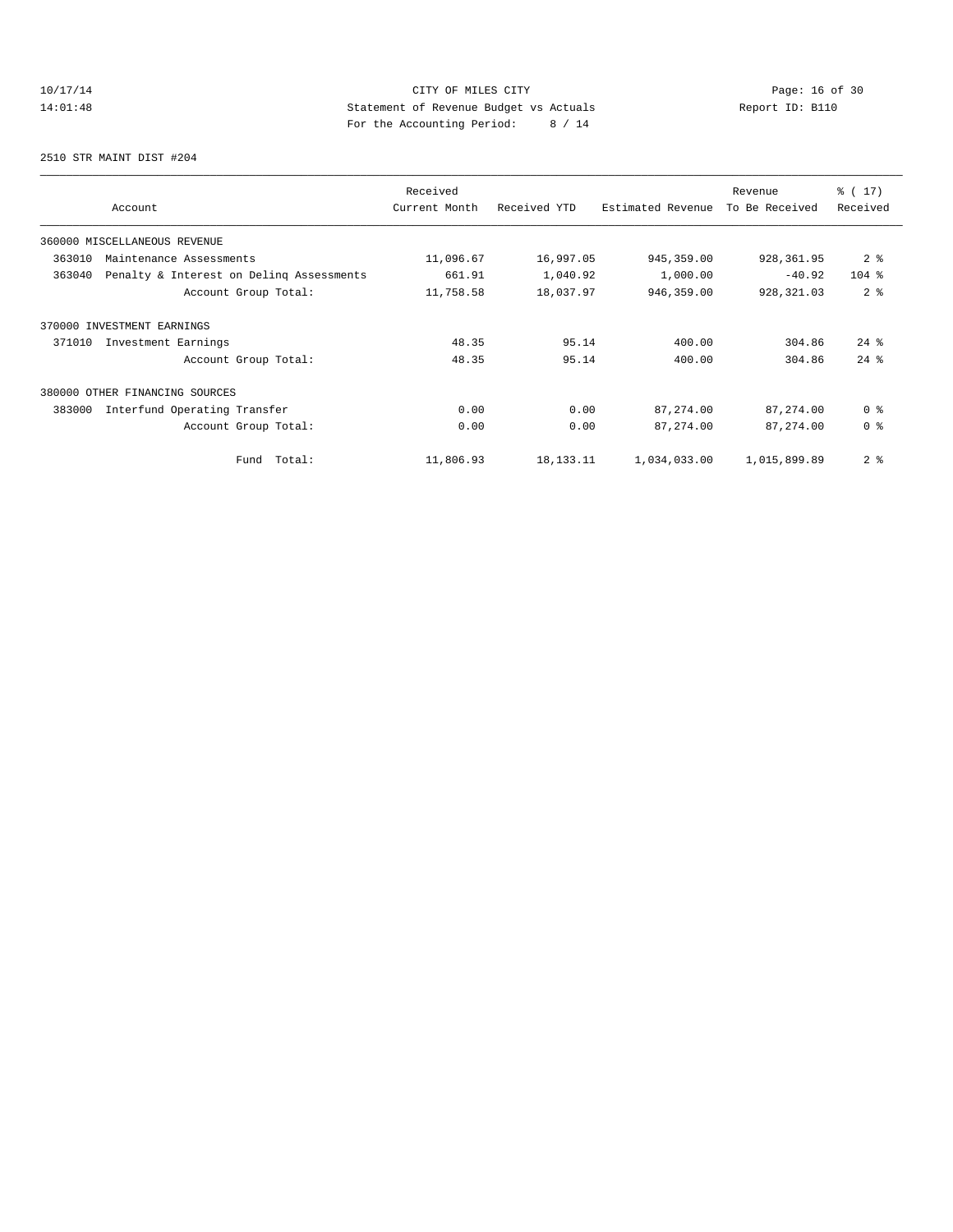# 10/17/14 Page: 16 of 30 14:01:48 Statement of Revenue Budget vs Actuals Report ID: B110<br>Report ID: B110 For the Accounting Period: 8 / 14

2510 STR MAINT DIST #204

| Account                                            | Received<br>Current Month | Received YTD | Estimated Revenue | Revenue<br>To Be Received | $\frac{1}{6}$ ( 17)<br>Received |
|----------------------------------------------------|---------------------------|--------------|-------------------|---------------------------|---------------------------------|
| 360000 MISCELLANEOUS REVENUE                       |                           |              |                   |                           |                                 |
| 363010<br>Maintenance Assessments                  | 11,096.67                 | 16,997.05    | 945, 359.00       | 928,361.95                | 2 <sup>8</sup>                  |
| Penalty & Interest on Deling Assessments<br>363040 | 661.91                    | 1,040.92     | 1,000.00          | $-40.92$                  | $104$ %                         |
| Account Group Total:                               | 11,758.58                 | 18,037.97    | 946,359.00        | 928, 321.03               | 2 <sup>8</sup>                  |
| 370000 INVESTMENT EARNINGS                         |                           |              |                   |                           |                                 |
| 371010<br>Investment Earnings                      | 48.35                     | 95.14        | 400.00            | 304.86                    | $24$ $%$                        |
| Account Group Total:                               | 48.35                     | 95.14        | 400.00            | 304.86                    | $24$ $%$                        |
| 380000 OTHER FINANCING SOURCES                     |                           |              |                   |                           |                                 |
| 383000<br>Interfund Operating Transfer             | 0.00                      | 0.00         | 87, 274.00        | 87,274.00                 | 0 <sup>8</sup>                  |
| Account Group Total:                               | 0.00                      | 0.00         | 87, 274.00        | 87,274.00                 | 0 <sup>8</sup>                  |
| Total:<br>Fund                                     | 11,806.93                 | 18, 133. 11  | 1,034,033.00      | 1,015,899.89              | 2 <sup>8</sup>                  |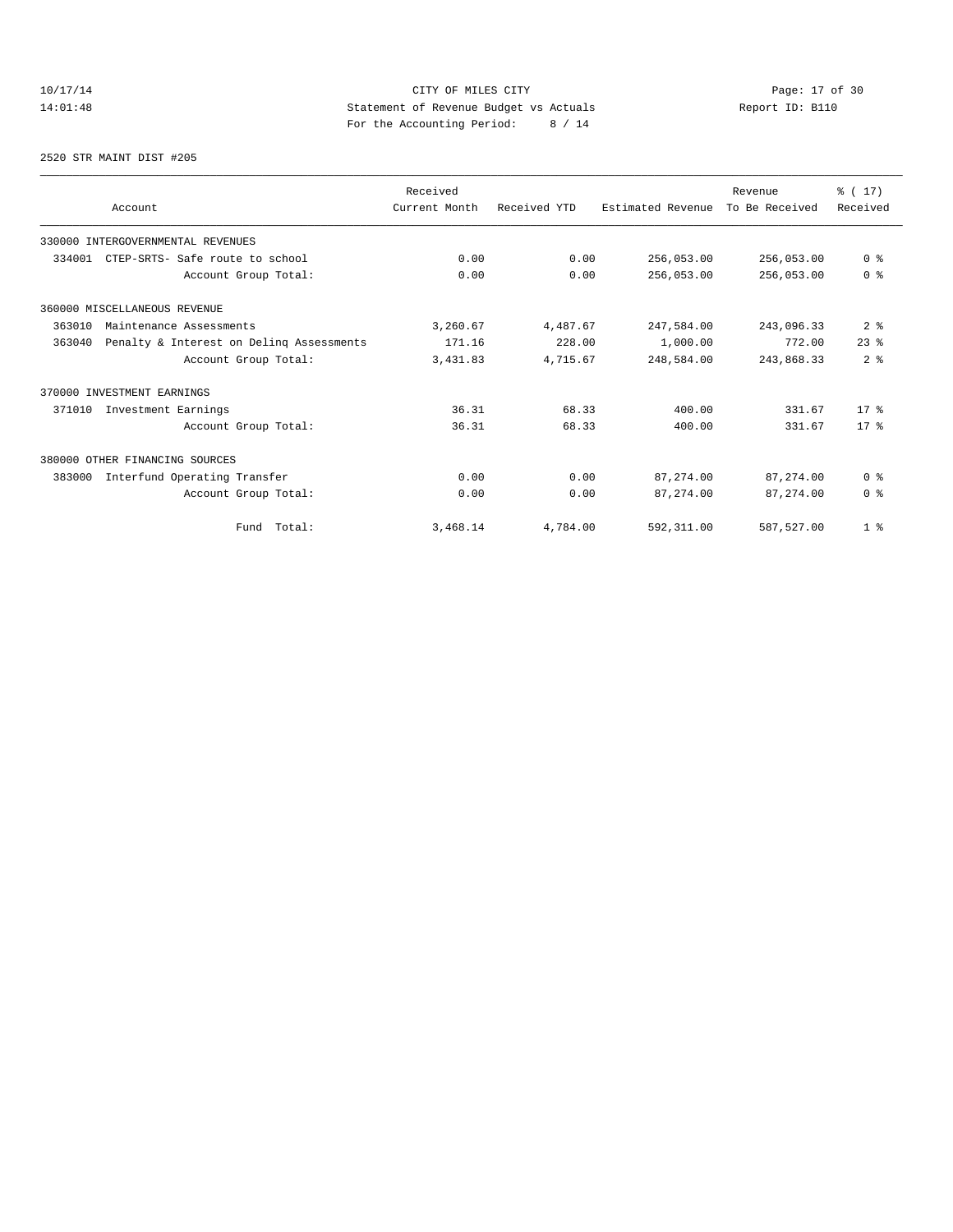# 10/17/14 Page: 17 of 30 14:01:48 Statement of Revenue Budget vs Actuals Report ID: B110<br>Report ID: B110 For the Accounting Period: 8 / 14

2520 STR MAINT DIST #205

| Account                                            | Received<br>Current Month | Received YTD | Estimated Revenue | Revenue<br>To Be Received | % (17)<br>Received |
|----------------------------------------------------|---------------------------|--------------|-------------------|---------------------------|--------------------|
| 330000 INTERGOVERNMENTAL REVENUES                  |                           |              |                   |                           |                    |
| 334001<br>CTEP-SRTS- Safe route to school          | 0.00                      | 0.00         | 256,053.00        | 256,053.00                | 0 <sup>8</sup>     |
| Account Group Total:                               | 0.00                      | 0.00         | 256,053.00        | 256,053.00                | 0 <sup>8</sup>     |
| 360000 MISCELLANEOUS REVENUE                       |                           |              |                   |                           |                    |
| 363010<br>Maintenance Assessments                  | 3,260.67                  | 4,487.67     | 247,584.00        | 243,096.33                | 2 <sub>8</sub>     |
| Penalty & Interest on Deling Assessments<br>363040 | 171.16                    | 228.00       | 1,000.00          | 772.00                    | $23$ $%$           |
| Account Group Total:                               | 3,431.83                  | 4,715.67     | 248,584.00        | 243,868.33                | 2 <sup>8</sup>     |
| 370000 INVESTMENT EARNINGS                         |                           |              |                   |                           |                    |
| 371010<br>Investment Earnings                      | 36.31                     | 68.33        | 400.00            | 331.67                    | $17*$              |
| Account Group Total:                               | 36.31                     | 68.33        | 400.00            | 331.67                    | $17*$              |
| 380000 OTHER FINANCING SOURCES                     |                           |              |                   |                           |                    |
| Interfund Operating Transfer<br>383000             | 0.00                      | 0.00         | 87,274.00         | 87, 274, 00               | 0 <sup>8</sup>     |
| Account Group Total:                               | 0.00                      | 0.00         | 87,274.00         | 87,274.00                 | 0 <sup>8</sup>     |
| Fund Total:                                        | 3,468.14                  | 4,784.00     | 592, 311.00       | 587,527.00                | 1 <sup>°</sup>     |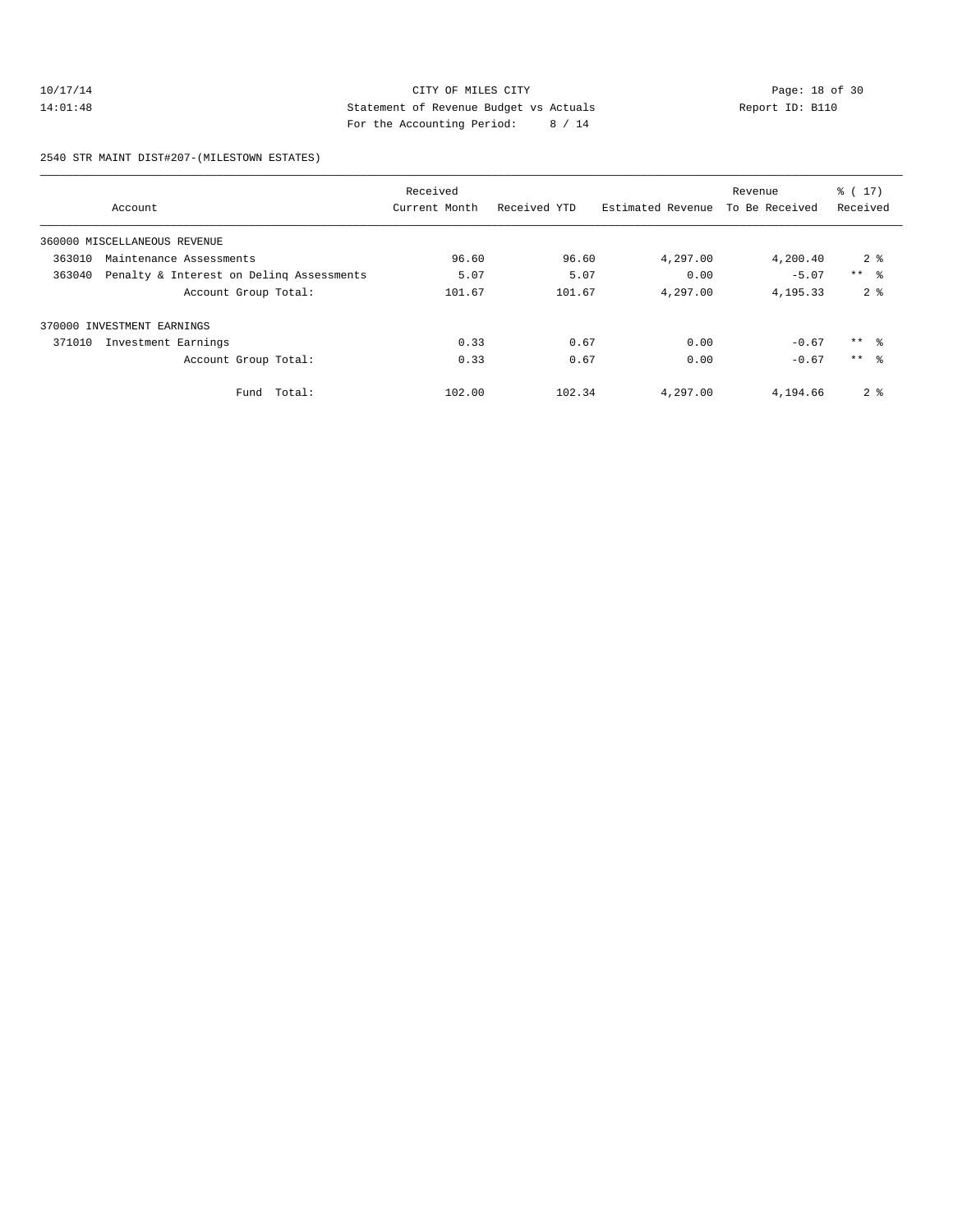#### 10/17/14 Page: 18 of 30 14:01:48 Statement of Revenue Budget vs Actuals Report ID: B110 For the Accounting Period: 8 / 14

2540 STR MAINT DIST#207-(MILESTOWN ESTATES)

|        |                                          | Received      |              |                   | Revenue        | % (17)         |
|--------|------------------------------------------|---------------|--------------|-------------------|----------------|----------------|
|        | Account                                  | Current Month | Received YTD | Estimated Revenue | To Be Received | Received       |
|        | 360000 MISCELLANEOUS REVENUE             |               |              |                   |                |                |
| 363010 | Maintenance Assessments                  | 96.60         | 96.60        | 4,297.00          | 4,200.40       | 2 <sup>8</sup> |
| 363040 | Penalty & Interest on Deling Assessments | 5.07          | 5.07         | 0.00              | $-5.07$        | $***$ $ -$     |
|        | Account Group Total:                     | 101.67        | 101.67       | 4,297.00          | 4,195.33       | 2 <sup>8</sup> |
|        | 370000 INVESTMENT EARNINGS               |               |              |                   |                |                |
| 371010 | Investment Earnings                      | 0.33          | 0.67         | 0.00              | $-0.67$        | $***$ %        |
|        | Account Group Total:                     | 0.33          | 0.67         | 0.00              | $-0.67$        | $***$ %        |
|        | Total:<br>Fund                           | 102.00        | 102.34       | 4,297.00          | 4,194.66       | 2 <sub>8</sub> |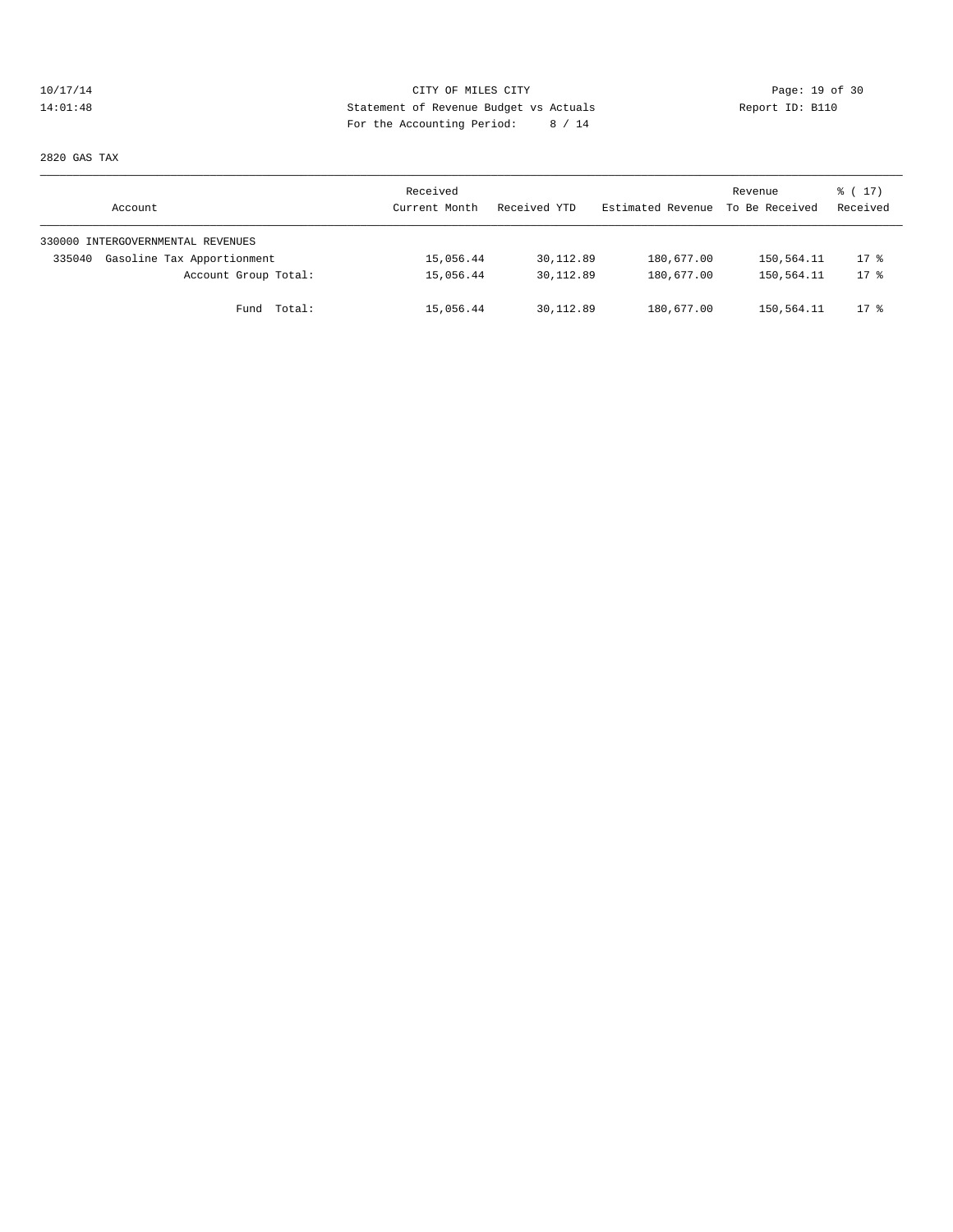# 10/17/14 Page: 19 of 30<br>14:01:48 Statement of Revenue Budget vs Actuals<br>14:01:48 Page: 19 of 30<br>14:01:48 Page: 19 of the Magnustics Deviced: 0.44 14:01:48 Statement of Revenue Budget vs Actuals Report ID: B110 For the Accounting Period: 8 / 14

2820 GAS TAX

| Account                              | Received<br>Current Month | Received YTD | Estimated Revenue | Revenue<br>To Be Received | $\frac{1}{6}$ (17)<br>Received |
|--------------------------------------|---------------------------|--------------|-------------------|---------------------------|--------------------------------|
| 330000 INTERGOVERNMENTAL REVENUES    |                           |              |                   |                           |                                |
| Gasoline Tax Apportionment<br>335040 | 15,056.44                 | 30,112.89    | 180,677.00        | 150,564.11                | $17$ %                         |
| Account Group Total:                 | 15,056.44                 | 30,112.89    | 180,677.00        | 150,564.11                | $17*$                          |
| Fund Total:                          | 15,056.44                 | 30,112.89    | 180,677.00        | 150,564.11                | $17*$                          |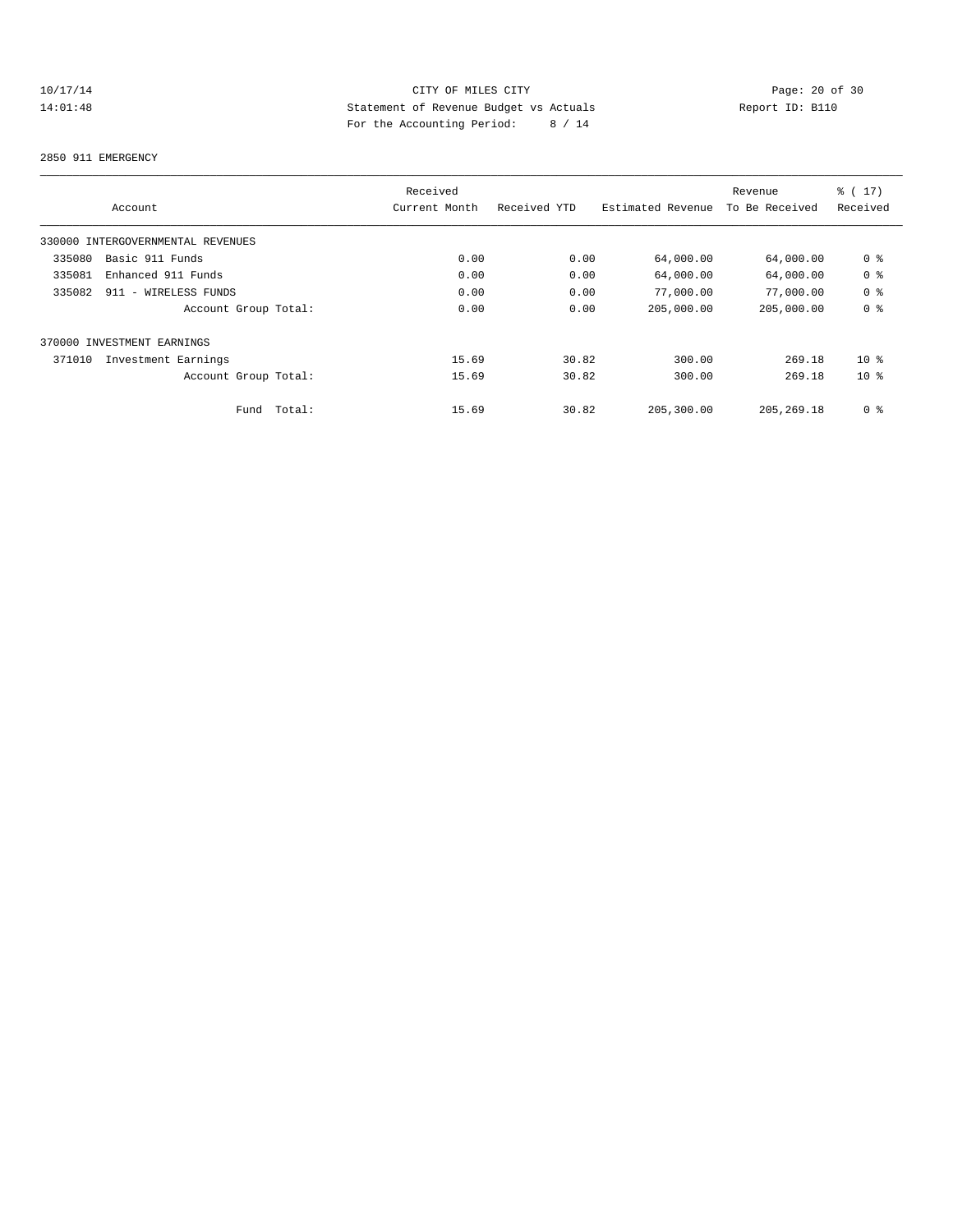# 10/17/14 Page: 20 of 30<br>14:01:48 Statement of Revenue Budget vs Actuals<br>14:01:48 Page: 20 of 30<br>14:01:48 Page: 20 of 30<br>20 Page: 20 of 30<br>20 Page: 20 of 30 14:01:48 Statement of Revenue Budget vs Actuals Report ID: B110 For the Accounting Period: 8 / 14

#### 2850 911 EMERGENCY

|                                   | Received        |              |                   | Revenue        | $\frac{1}{6}$ (17) |
|-----------------------------------|-----------------|--------------|-------------------|----------------|--------------------|
| Account                           | Current Month   | Received YTD | Estimated Revenue | To Be Received | Received           |
| 330000 INTERGOVERNMENTAL REVENUES |                 |              |                   |                |                    |
| Basic 911 Funds<br>335080         | 0.00            | 0.00         | 64,000.00         | 64,000.00      | 0 <sup>8</sup>     |
| 335081<br>Enhanced 911 Funds      | 0.00            | 0.00         | 64,000.00         | 64,000.00      | 0 <sup>8</sup>     |
| 335082<br>911 - WIRELESS FUNDS    | 0.00            | 0.00         | 77,000.00         | 77,000.00      | 0 <sup>8</sup>     |
| Account Group Total:              | 0.00            | 0.00         | 205,000.00        | 205,000.00     | 0 <sup>8</sup>     |
| 370000 INVESTMENT EARNINGS        |                 |              |                   |                |                    |
| 371010<br>Investment Earnings     | 15.69           | 30.82        | 300.00            | 269.18         | 10 <sup>8</sup>    |
| Account Group Total:              | 15.69           | 30.82        | 300.00            | 269.18         | $10*$              |
| Fund                              | Total:<br>15.69 | 30.82        | 205,300.00        | 205, 269, 18   | 0 <sup>8</sup>     |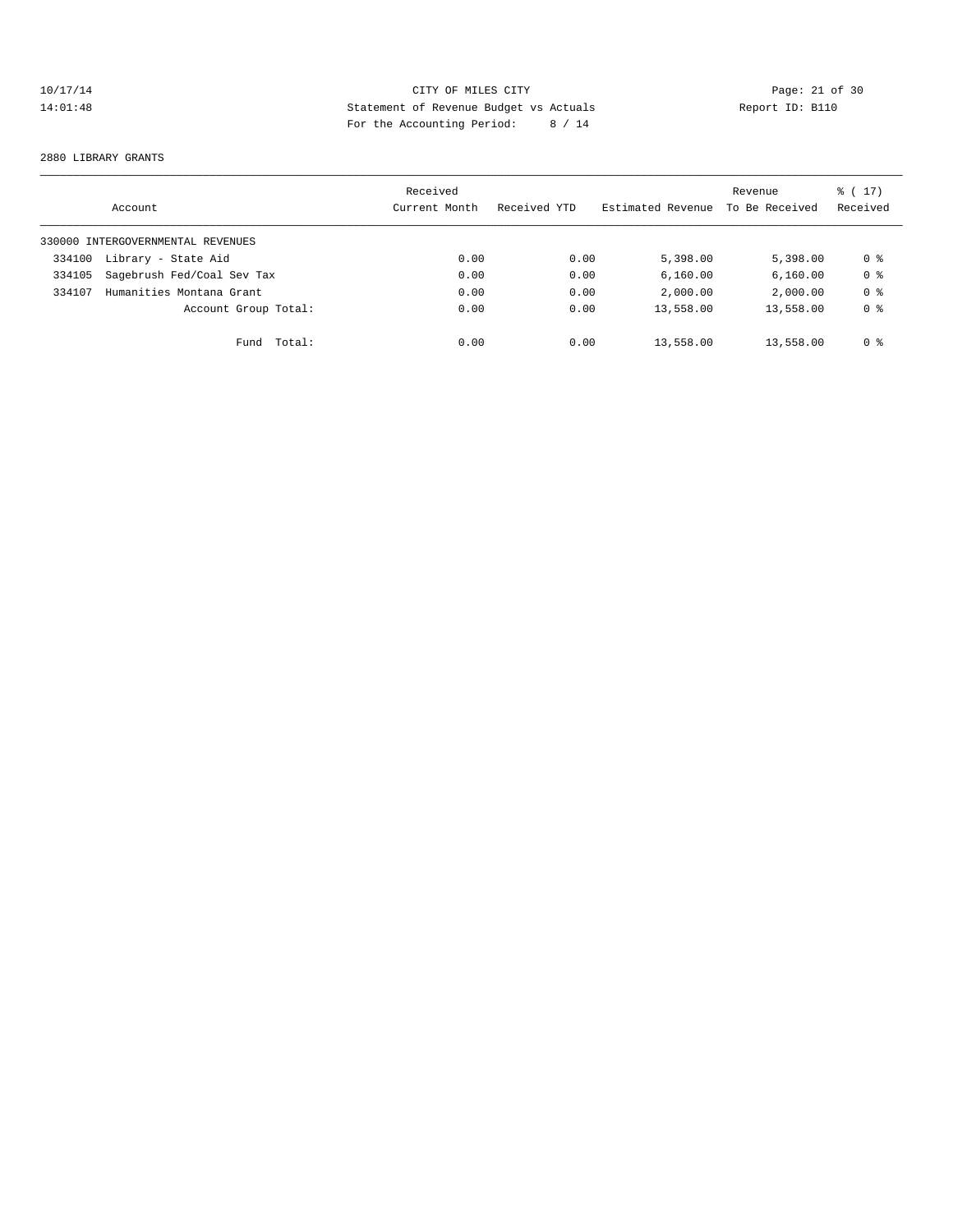# 10/17/14 Page: 21 of 30<br>14:01:48 Statement of Revenue Budget vs Actuals<br>14:01:48 Page: 21 of 30<br>14:01:48 Page: 21 of 30<br>2020<br>14:01:48 Page: 21 of 30<br>2020<br>14:01:48 14:01:48 Statement of Revenue Budget vs Actuals Report ID: B110 For the Accounting Period: 8 / 14

#### 2880 LIBRARY GRANTS

|        | Account                           | Received<br>Current Month | Received YTD | Estimated Revenue | Revenue<br>To Be Received | $\frac{1}{6}$ ( 17 )<br>Received |
|--------|-----------------------------------|---------------------------|--------------|-------------------|---------------------------|----------------------------------|
|        | 330000 INTERGOVERNMENTAL REVENUES |                           |              |                   |                           |                                  |
| 334100 | Library - State Aid               | 0.00                      | 0.00         | 5,398.00          | 5,398,00                  | 0 %                              |
| 334105 | Sagebrush Fed/Coal Sev Tax        | 0.00                      | 0.00         | 6,160.00          | 6, 160.00                 | 0 <sup>8</sup>                   |
| 334107 | Humanities Montana Grant          | 0.00                      | 0.00         | 2,000.00          | 2,000.00                  | 0 <sup>8</sup>                   |
|        | Account Group Total:              | 0.00                      | 0.00         | 13,558.00         | 13,558.00                 | 0 <sup>8</sup>                   |
|        | Fund                              | Total:<br>0.00            | 0.00         | 13,558.00         | 13,558.00                 | 0 <sup>8</sup>                   |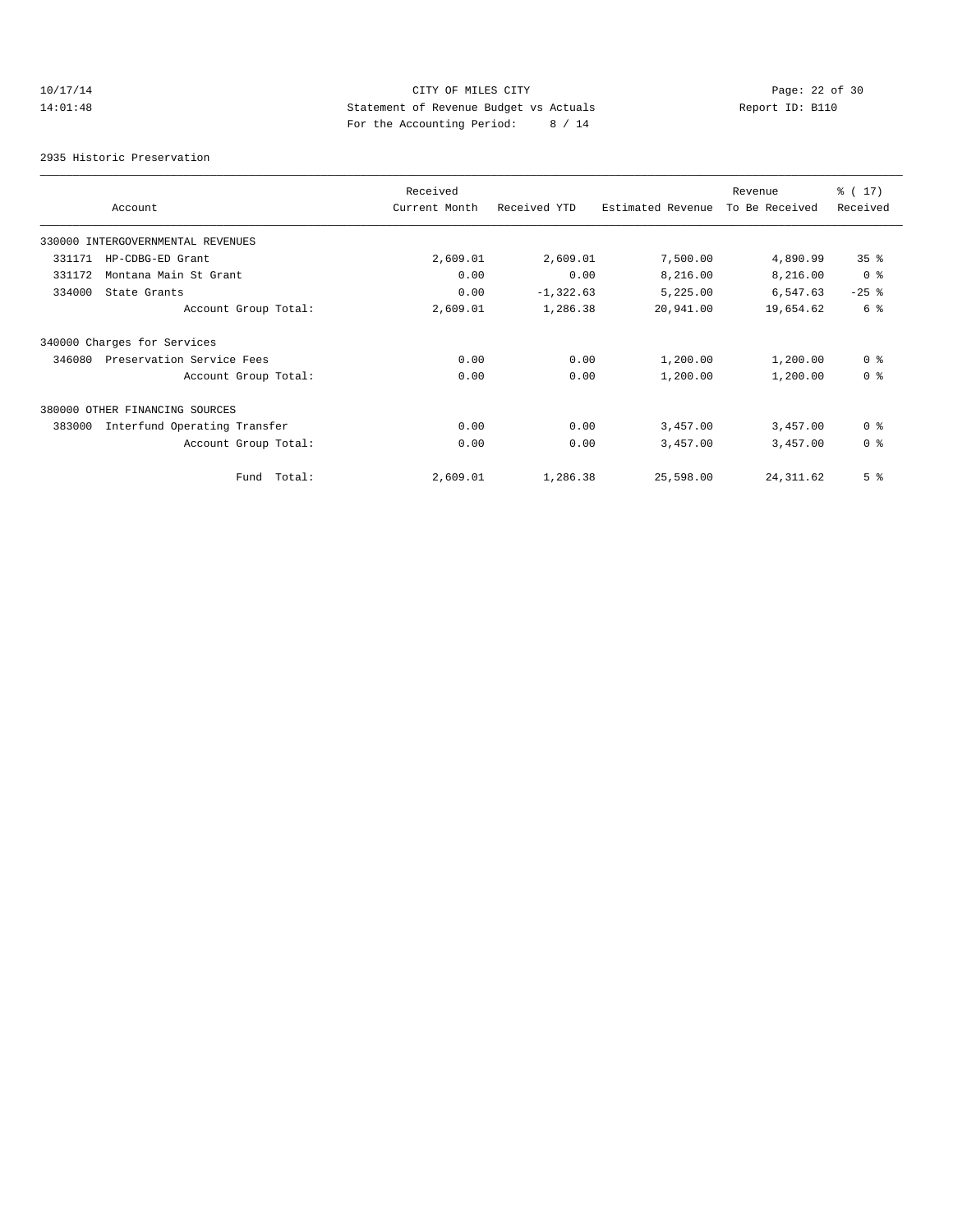# 10/17/14 Page: 22 of 30 14:01:48 Statement of Revenue Budget vs Actuals Report ID: B110 For the Accounting Period: 8 / 14

2935 Historic Preservation

|        |                                   | Received      |              |                   | Revenue        | % (17)          |
|--------|-----------------------------------|---------------|--------------|-------------------|----------------|-----------------|
|        | Account                           | Current Month | Received YTD | Estimated Revenue | To Be Received | Received        |
|        | 330000 INTERGOVERNMENTAL REVENUES |               |              |                   |                |                 |
| 331171 | HP-CDBG-ED Grant                  | 2,609.01      | 2,609.01     | 7,500.00          | 4,890.99       | 35 <sup>8</sup> |
| 331172 | Montana Main St Grant             | 0.00          | 0.00         | 8,216.00          | 8,216.00       | 0 <sup>8</sup>  |
| 334000 | State Grants                      | 0.00          | $-1, 322.63$ | 5,225.00          | 6,547.63       | $-25$ %         |
|        | Account Group Total:              | 2,609.01      | 1,286.38     | 20,941.00         | 19,654.62      | 6 <sup>°</sup>  |
|        | 340000 Charges for Services       |               |              |                   |                |                 |
| 346080 | Preservation Service Fees         | 0.00          | 0.00         | 1,200.00          | 1,200.00       | 0 <sup>8</sup>  |
|        | Account Group Total:              | 0.00          | 0.00         | 1,200.00          | 1,200.00       | 0 <sup>8</sup>  |
|        | 380000 OTHER FINANCING SOURCES    |               |              |                   |                |                 |
| 383000 | Interfund Operating Transfer      | 0.00          | 0.00         | 3,457.00          | 3,457.00       | 0 <sup>8</sup>  |
|        | Account Group Total:              | 0.00          | 0.00         | 3,457.00          | 3,457.00       | 0 <sup>8</sup>  |
|        | Fund Total:                       | 2,609.01      | 1,286.38     | 25,598.00         | 24, 311.62     | 5 <sup>8</sup>  |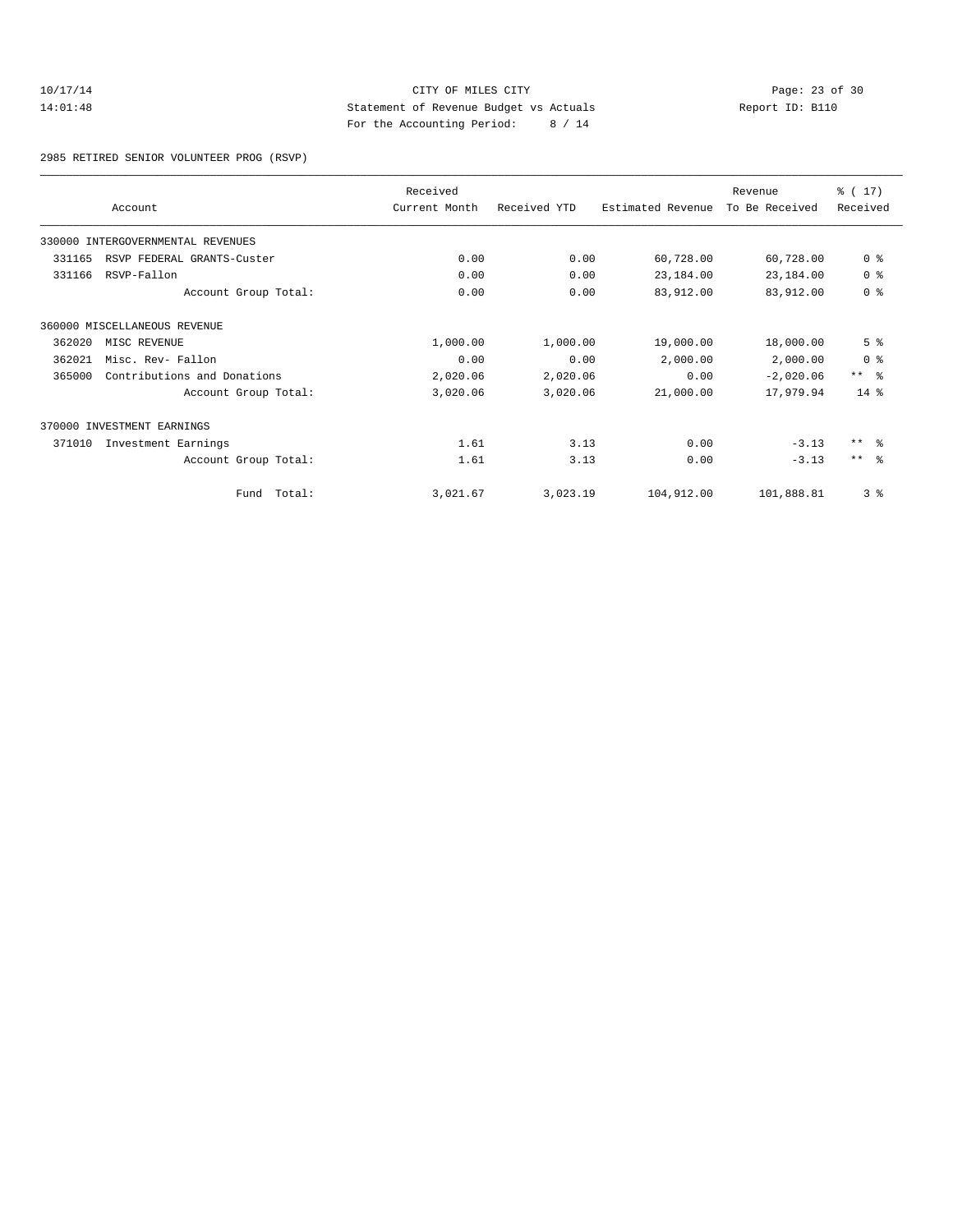#### 10/17/14 Page: 23 of 30<br>14:01:48 Statement of Revenue Budget vs Actuals<br>14:01:48 Page: 23 of 30<br>14:01:48 Page: 23 of 30<br>20:44 Page: 23 of 30 14:01:48 Statement of Revenue Budget vs Actuals Report ID: B110 For the Accounting Period: 8 / 14

2985 RETIRED SENIOR VOLUNTEER PROG (RSVP)

|        | Account                           | Received<br>Current Month | Received YTD | Estimated Revenue | Revenue<br>To Be Received | % (17)<br>Received |  |
|--------|-----------------------------------|---------------------------|--------------|-------------------|---------------------------|--------------------|--|
|        |                                   |                           |              |                   |                           |                    |  |
|        | 330000 INTERGOVERNMENTAL REVENUES |                           |              |                   |                           |                    |  |
| 331165 | RSVP FEDERAL GRANTS-Custer        | 0.00                      | 0.00         | 60,728.00         | 60,728.00                 | 0 <sup>8</sup>     |  |
| 331166 | RSVP-Fallon                       | 0.00                      | 0.00         | 23,184.00         | 23,184.00                 | 0 <sup>8</sup>     |  |
|        | Account Group Total:              | 0.00                      | 0.00         | 83,912.00         | 83,912.00                 | 0 <sup>8</sup>     |  |
|        | 360000 MISCELLANEOUS REVENUE      |                           |              |                   |                           |                    |  |
| 362020 | MISC REVENUE                      | 1,000.00                  | 1,000.00     | 19,000.00         | 18,000.00                 | 5 <sup>°</sup>     |  |
| 362021 | Misc. Rev- Fallon                 | 0.00                      | 0.00         | 2,000.00          | 2,000.00                  | 0 <sup>8</sup>     |  |
| 365000 | Contributions and Donations       | 2,020.06                  | 2,020.06     | 0.00              | $-2,020.06$               | $***$ $ -$         |  |
|        | Account Group Total:              | 3,020.06                  | 3,020.06     | 21,000.00         | 17,979.94                 | $14*$              |  |
|        | 370000 INVESTMENT EARNINGS        |                           |              |                   |                           |                    |  |
| 371010 | Investment Earnings               | 1.61                      | 3.13         | 0.00              | $-3.13$                   | $***$ $\approx$    |  |
|        | Account Group Total:              | 1.61                      | 3.13         | 0.00              | $-3.13$                   | $***$ $\approx$    |  |
|        | Fund Total:                       | 3,021.67                  | 3,023.19     | 104,912.00        | 101,888.81                | 3%                 |  |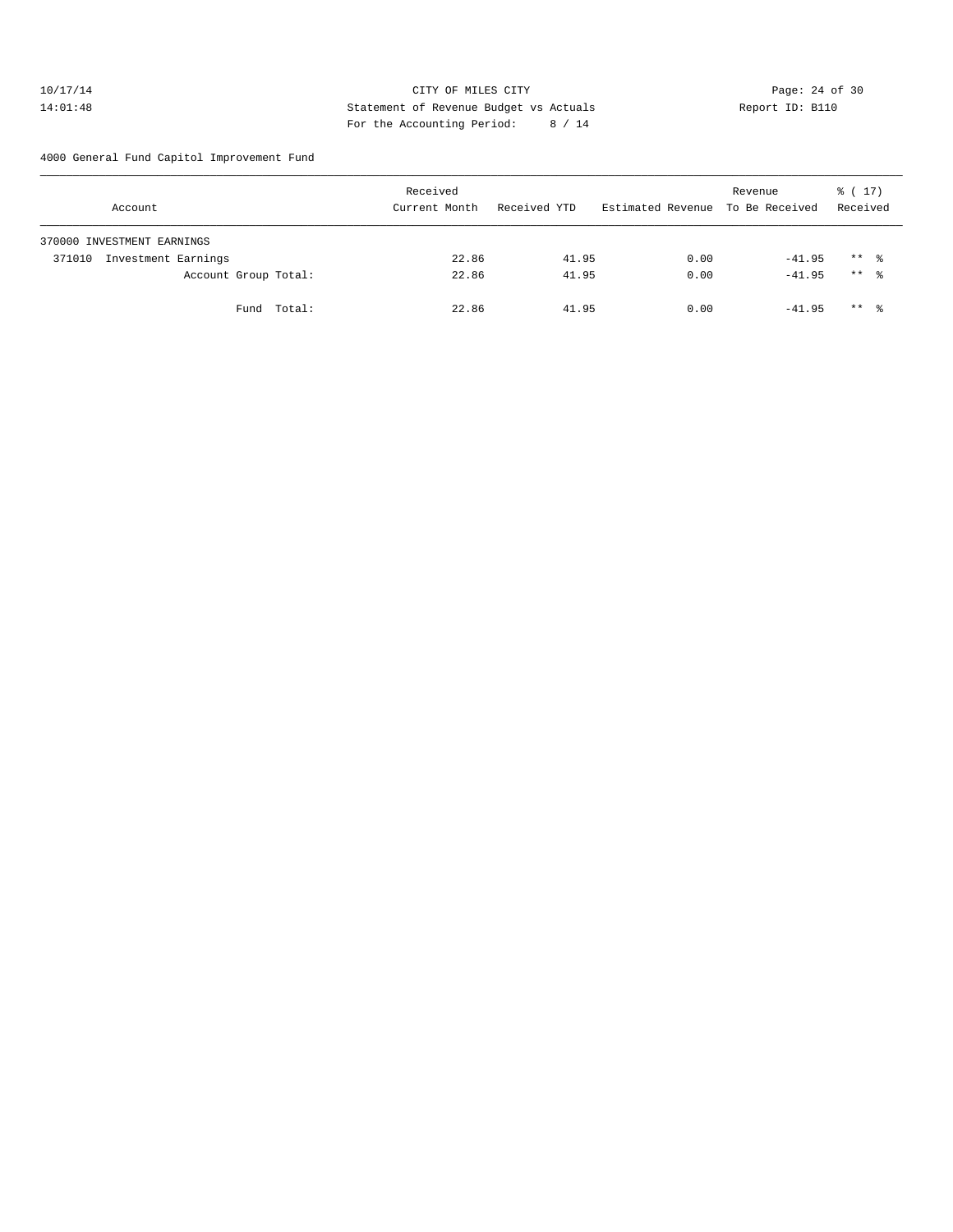#### 10/17/14 Page: 24 of 30 14:01:48 Statement of Revenue Budget vs Actuals Report ID: B110 For the Accounting Period: 8 / 14

4000 General Fund Capitol Improvement Fund

| Account                       |                      |             | Received<br>Current Month | Received YTD | Estimated Revenue To Be Received | Revenue  | $\frac{1}{6}$ ( 17 )<br>Received |  |
|-------------------------------|----------------------|-------------|---------------------------|--------------|----------------------------------|----------|----------------------------------|--|
| 370000 INVESTMENT EARNINGS    |                      |             |                           |              |                                  |          |                                  |  |
| Investment Earnings<br>371010 |                      |             | 22.86                     | 41.95        | 0.00                             | $-41.95$ | $***$ %                          |  |
|                               | Account Group Total: |             | 22.86                     | 41.95        | 0.00                             | $-41.95$ | $***$ %                          |  |
|                               |                      | Fund Total: | 22.86                     | 41.95        | 0.00                             | $-41.95$ | $***$ %                          |  |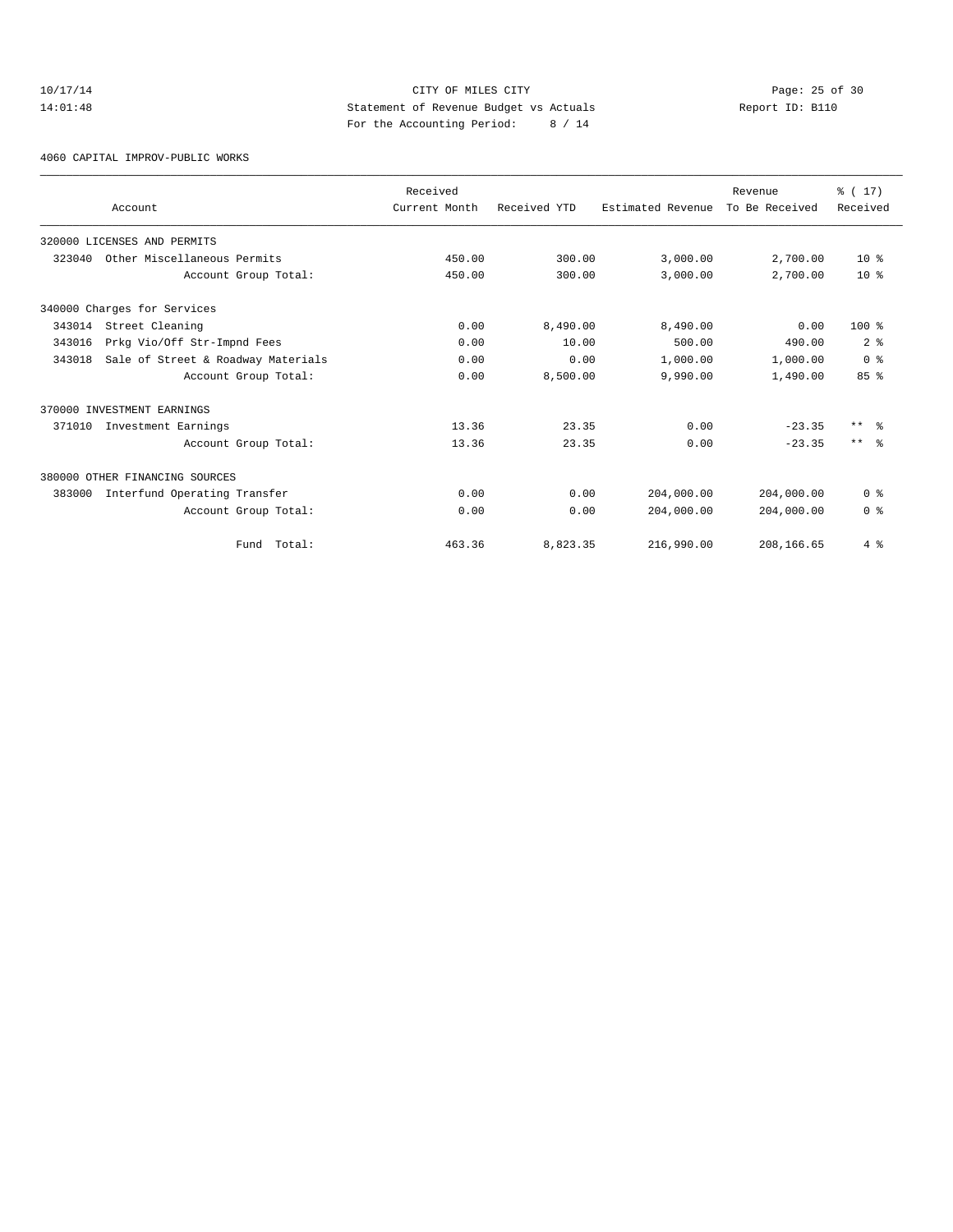# 10/17/14 Page: 25 of 30 14:01:48 Statement of Revenue Budget vs Actuals Report ID: B110 For the Accounting Period: 8 / 14

4060 CAPITAL IMPROV-PUBLIC WORKS

|        |                                    | Received      |              |                   | Revenue        | % (17)          |
|--------|------------------------------------|---------------|--------------|-------------------|----------------|-----------------|
|        | Account                            | Current Month | Received YTD | Estimated Revenue | To Be Received | Received        |
|        | 320000 LICENSES AND PERMITS        |               |              |                   |                |                 |
| 323040 | Other Miscellaneous Permits        | 450.00        | 300.00       | 3,000.00          | 2,700.00       | $10*$           |
|        | Account Group Total:               | 450.00        | 300.00       | 3,000.00          | 2,700.00       | 10 <sup>8</sup> |
|        | 340000 Charges for Services        |               |              |                   |                |                 |
| 343014 | Street Cleaning                    | 0.00          | 8,490.00     | 8,490.00          | 0.00           | $100*$          |
| 343016 | Prkg Vio/Off Str-Impnd Fees        | 0.00          | 10.00        | 500.00            | 490.00         | 2 <sup>8</sup>  |
| 343018 | Sale of Street & Roadway Materials | 0.00          | 0.00         | 1,000.00          | 1,000.00       | 0 <sup>8</sup>  |
|        | Account Group Total:               | 0.00          | 8,500.00     | 9,990.00          | 1,490.00       | 85%             |
|        | 370000 INVESTMENT EARNINGS         |               |              |                   |                |                 |
| 371010 | Investment Earnings                | 13.36         | 23.35        | 0.00              | $-23.35$       | $***$ $\approx$ |
|        | Account Group Total:               | 13.36         | 23.35        | 0.00              | $-23.35$       | $***$ %         |
|        | 380000 OTHER FINANCING SOURCES     |               |              |                   |                |                 |
| 383000 | Interfund Operating Transfer       | 0.00          | 0.00         | 204,000.00        | 204,000.00     | 0 <sup>8</sup>  |
|        | Account Group Total:               | 0.00          | 0.00         | 204,000.00        | 204,000.00     | 0 <sup>8</sup>  |
|        | Total:<br>Fund                     | 463.36        | 8,823.35     | 216,990.00        | 208,166.65     | 4%              |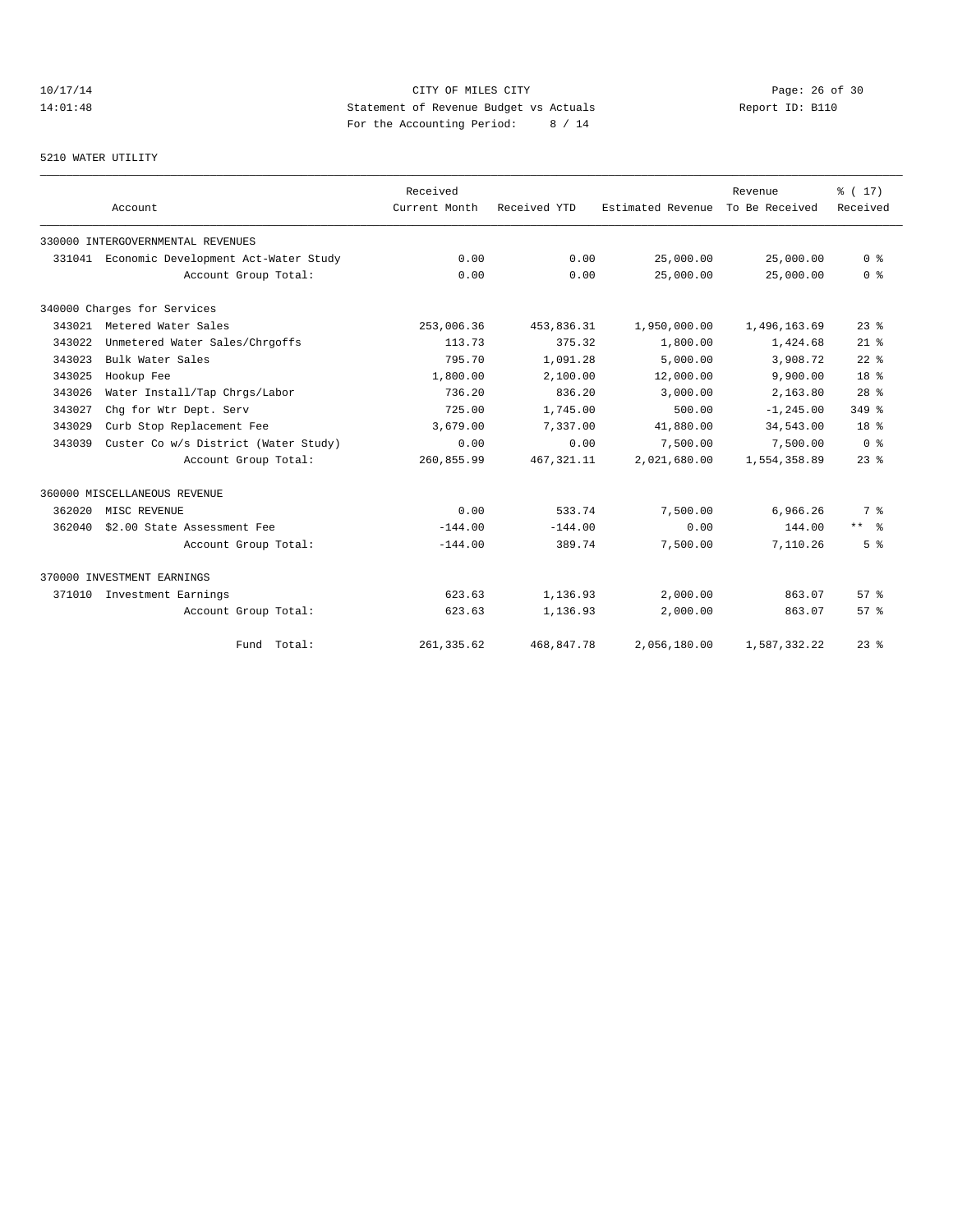# 10/17/14 Page: 26 of 30 14:01:48 Statement of Revenue Budget vs Actuals Report ID: B110 For the Accounting Period: 8 / 14

#### 5210 WATER UTILITY

|        |                                             | Received      |              |                   | Revenue        | % (17)          |
|--------|---------------------------------------------|---------------|--------------|-------------------|----------------|-----------------|
|        | Account                                     | Current Month | Received YTD | Estimated Revenue | To Be Received | Received        |
|        | 330000 INTERGOVERNMENTAL REVENUES           |               |              |                   |                |                 |
|        | 331041 Economic Development Act-Water Study | 0.00          | 0.00         | 25,000.00         | 25,000.00      | 0 <sup>8</sup>  |
|        | Account Group Total:                        | 0.00          | 0.00         | 25,000.00         | 25,000.00      | 0 <sup>8</sup>  |
|        | 340000 Charges for Services                 |               |              |                   |                |                 |
| 343021 | Metered Water Sales                         | 253,006.36    | 453,836.31   | 1,950,000.00      | 1,496,163.69   | $23$ $%$        |
| 343022 | Unmetered Water Sales/Chrgoffs              | 113.73        | 375.32       | 1,800.00          | 1,424.68       | $21$ %          |
| 343023 | Bulk Water Sales                            | 795.70        | 1,091.28     | 5,000.00          | 3,908.72       | $22$ %          |
| 343025 | Hookup Fee                                  | 1,800.00      | 2,100.00     | 12,000.00         | 9,900.00       | 18 <sup>8</sup> |
| 343026 | Water Install/Tap Chrgs/Labor               | 736.20        | 836.20       | 3,000.00          | 2,163.80       | 28 <sup>8</sup> |
| 343027 | Chq for Wtr Dept. Serv                      | 725.00        | 1,745.00     | 500.00            | $-1, 245.00$   | 349 %           |
| 343029 | Curb Stop Replacement Fee                   | 3,679.00      | 7,337.00     | 41,880.00         | 34,543.00      | 18 <sup>8</sup> |
| 343039 | Custer Co w/s District (Water Study)        | 0.00          | 0.00         | 7,500.00          | 7,500.00       | 0 <sup>8</sup>  |
|        | Account Group Total:                        | 260,855.99    | 467, 321.11  | 2,021,680.00      | 1,554,358.89   | $23$ $%$        |
|        | 360000 MISCELLANEOUS REVENUE                |               |              |                   |                |                 |
| 362020 | MISC REVENUE                                | 0.00          | 533.74       | 7,500.00          | 6,966.26       | 7 <sup>°</sup>  |
| 362040 | \$2.00 State Assessment Fee                 | $-144.00$     | $-144.00$    | 0.00              | 144.00         | $***$ %         |
|        | Account Group Total:                        | $-144.00$     | 389.74       | 7,500.00          | 7.110.26       | 5 <sup>8</sup>  |
|        | 370000 INVESTMENT EARNINGS                  |               |              |                   |                |                 |
| 371010 | Investment Earnings                         | 623.63        | 1,136.93     | 2,000.00          | 863.07         | 57%             |
|        | Account Group Total:                        | 623.63        | 1,136.93     | 2,000.00          | 863.07         | $57*$           |
|        | Fund Total:                                 | 261, 335.62   | 468,847.78   | 2.056.180.00      | 1,587,332.22   | $23$ $%$        |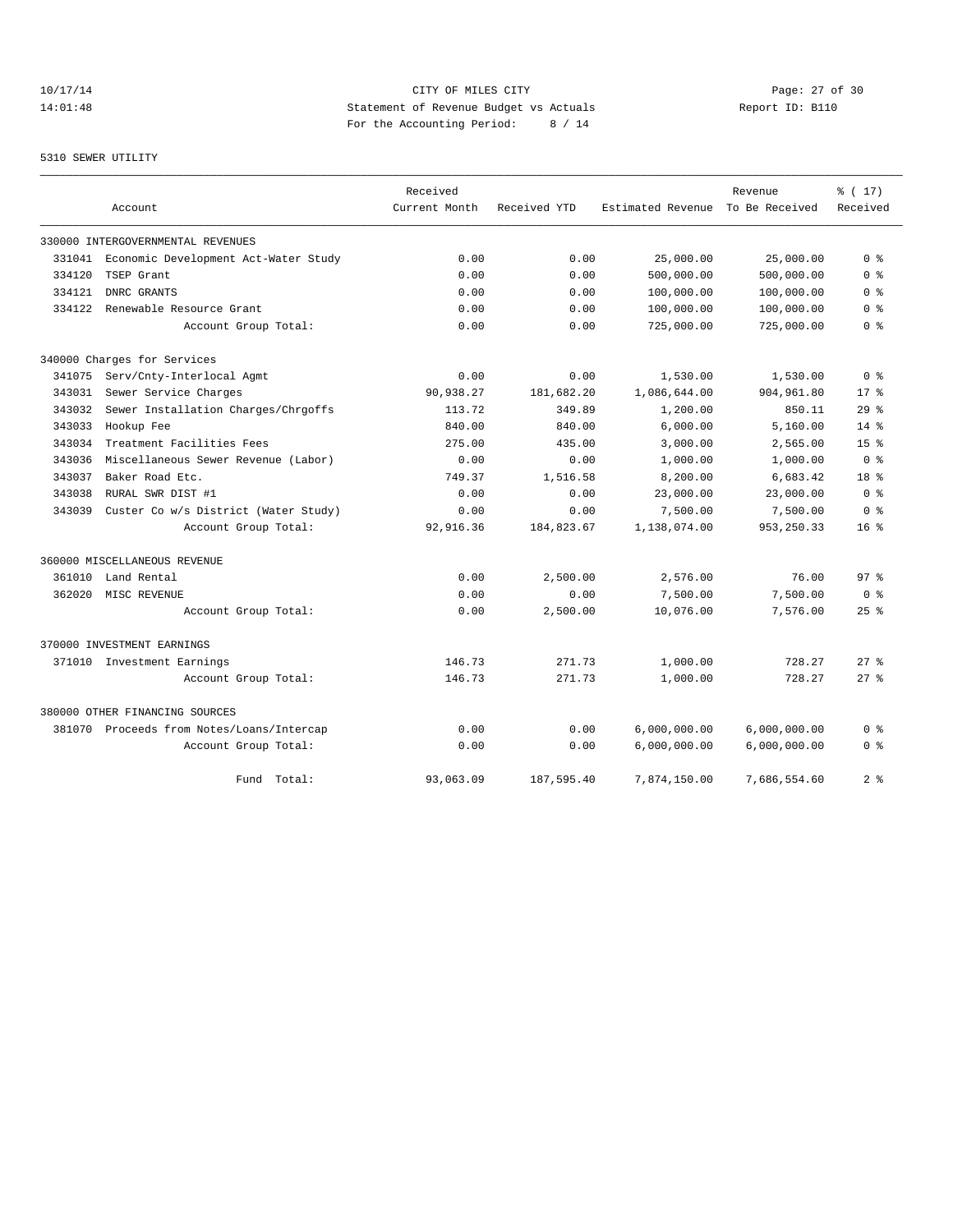# 10/17/14 Page: 27 of 30 14:01:48 Statement of Revenue Budget vs Actuals Report ID: B110 For the Accounting Period: 8 / 14

#### 5310 SEWER UTILITY

|        |                                           | Received      |              |                   | Revenue        | % (17)          |
|--------|-------------------------------------------|---------------|--------------|-------------------|----------------|-----------------|
|        | Account                                   | Current Month | Received YTD | Estimated Revenue | To Be Received | Received        |
|        | 330000 INTERGOVERNMENTAL REVENUES         |               |              |                   |                |                 |
| 331041 | Economic Development Act-Water Study      | 0.00          | 0.00         | 25,000.00         | 25,000.00      | 0 <sup>8</sup>  |
| 334120 | TSEP Grant                                | 0.00          | 0.00         | 500,000.00        | 500,000.00     | 0 <sup>8</sup>  |
| 334121 | DNRC GRANTS                               | 0.00          | 0.00         | 100,000.00        | 100,000.00     | 0 %             |
| 334122 | Renewable Resource Grant                  | 0.00          | 0.00         | 100,000.00        | 100,000.00     | 0 <sup>8</sup>  |
|        | Account Group Total:                      | 0.00          | 0.00         | 725,000.00        | 725,000.00     | 0 <sup>8</sup>  |
|        | 340000 Charges for Services               |               |              |                   |                |                 |
| 341075 | Serv/Cnty-Interlocal Agmt                 | 0.00          | 0.00         | 1,530.00          | 1,530.00       | 0 <sup>8</sup>  |
| 343031 | Sewer Service Charges                     | 90,938.27     | 181,682.20   | 1,086,644.00      | 904,961.80     | 17.8            |
| 343032 | Sewer Installation Charges/Chrgoffs       | 113.72        | 349.89       | 1,200.00          | 850.11         | 29%             |
| 343033 | Hookup Fee                                | 840.00        | 840.00       | 6,000.00          | 5.160.00       | 14%             |
| 343034 | Treatment Facilities Fees                 | 275.00        | 435.00       | 3,000.00          | 2,565.00       | 15 <sup>8</sup> |
| 343036 | Miscellaneous Sewer Revenue (Labor)       | 0.00          | 0.00         | 1,000.00          | 1,000.00       | 0 <sup>8</sup>  |
| 343037 | Baker Road Etc.                           | 749.37        | 1,516.58     | 8,200.00          | 6,683.42       | 18 <sup>8</sup> |
| 343038 | RURAL SWR DIST #1                         | 0.00          | 0.00         | 23,000.00         | 23,000.00      | 0 <sup>8</sup>  |
| 343039 | Custer Co w/s District (Water Study)      | 0.00          | 0.00         | 7,500.00          | 7,500.00       | 0 <sup>8</sup>  |
|        | Account Group Total:                      | 92, 916.36    | 184,823.67   | 1,138,074.00      | 953, 250.33    | 16 <sup>8</sup> |
|        | 360000 MISCELLANEOUS REVENUE              |               |              |                   |                |                 |
| 361010 | Land Rental                               | 0.00          | 2,500.00     | 2,576.00          | 76.00          | 97 <sup>8</sup> |
| 362020 | MISC REVENUE                              | 0.00          | 0.00         | 7,500.00          | 7,500.00       | 0 <sup>8</sup>  |
|        | Account Group Total:                      | 0.00          | 2,500.00     | 10,076.00         | 7,576.00       | $25$ %          |
|        | 370000 INVESTMENT EARNINGS                |               |              |                   |                |                 |
| 371010 | Investment Earnings                       | 146.73        | 271.73       | 1,000.00          | 728.27         | $27$ $%$        |
|        | Account Group Total:                      | 146.73        | 271.73       | 1,000.00          | 728.27         | $27$ $\approx$  |
|        | 380000 OTHER FINANCING SOURCES            |               |              |                   |                |                 |
|        | 381070 Proceeds from Notes/Loans/Intercap | 0.00          | 0.00         | 6,000,000.00      | 6,000,000.00   | 0 %             |
|        | Account Group Total:                      | 0.00          | 0.00         | 6,000,000.00      | 6,000,000.00   | 0 <sup>8</sup>  |
|        | Fund Total:                               | 93,063.09     | 187,595.40   | 7,874,150.00      | 7,686,554.60   | 2 <sup>°</sup>  |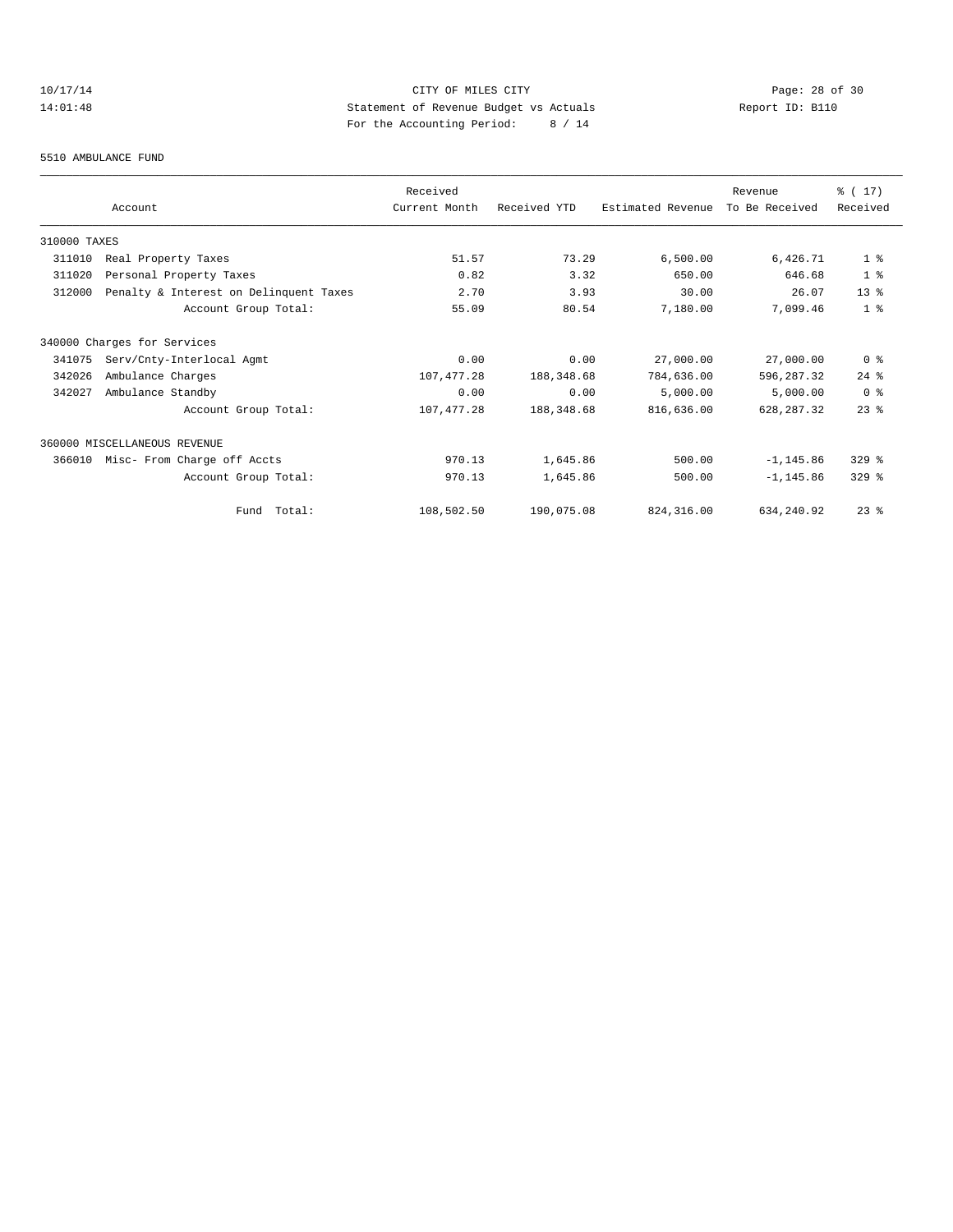# 10/17/14 Page: 28 of 30<br>14:01:48 Statement of Revenue Budget vs Actuals<br>14:01:48 Page: 28 of 30<br>14:01:48 Page: 28 of 30<br>2011 14:01:48 Statement of Revenue Budget vs Actuals Report ID: B110 For the Accounting Period: 8 / 14

#### 5510 AMBULANCE FUND

|              |                                        | Received      |              |                   | Revenue        | $\frac{1}{6}$ ( 17 ) |
|--------------|----------------------------------------|---------------|--------------|-------------------|----------------|----------------------|
|              | Account                                | Current Month | Received YTD | Estimated Revenue | To Be Received | Received             |
| 310000 TAXES |                                        |               |              |                   |                |                      |
| 311010       | Real Property Taxes                    | 51.57         | 73.29        | 6,500.00          | 6,426.71       | 1 <sup>8</sup>       |
| 311020       | Personal Property Taxes                | 0.82          | 3.32         | 650.00            | 646.68         | 1 <sup>8</sup>       |
| 312000       | Penalty & Interest on Delinquent Taxes | 2.70          | 3.93         | 30.00             | 26.07          | 13 <sup>8</sup>      |
|              | Account Group Total:                   | 55.09         | 80.54        | 7,180.00          | 7,099.46       | 1 <sup>8</sup>       |
|              | 340000 Charges for Services            |               |              |                   |                |                      |
| 341075       | Serv/Cnty-Interlocal Agmt              | 0.00          | 0.00         | 27,000.00         | 27,000.00      | 0 <sup>8</sup>       |
| 342026       | Ambulance Charges                      | 107, 477.28   | 188,348.68   | 784,636.00        | 596,287.32     | $24$ %               |
| 342027       | Ambulance Standby                      | 0.00          | 0.00         | 5,000.00          | 5,000.00       | 0 <sup>8</sup>       |
|              | Account Group Total:                   | 107, 477.28   | 188,348.68   | 816,636.00        | 628, 287.32    | $23$ $%$             |
|              | 360000 MISCELLANEOUS REVENUE           |               |              |                   |                |                      |
| 366010       | Misc- From Charge off Accts            | 970.13        | 1,645.86     | 500.00            | $-1, 145.86$   | $329$ $%$            |
|              | Account Group Total:                   | 970.13        | 1,645.86     | 500.00            | $-1, 145.86$   | $329$ $%$            |
|              | Total:<br>Fund                         | 108,502.50    | 190,075.08   | 824, 316, 00      | 634, 240.92    | $23$ $%$             |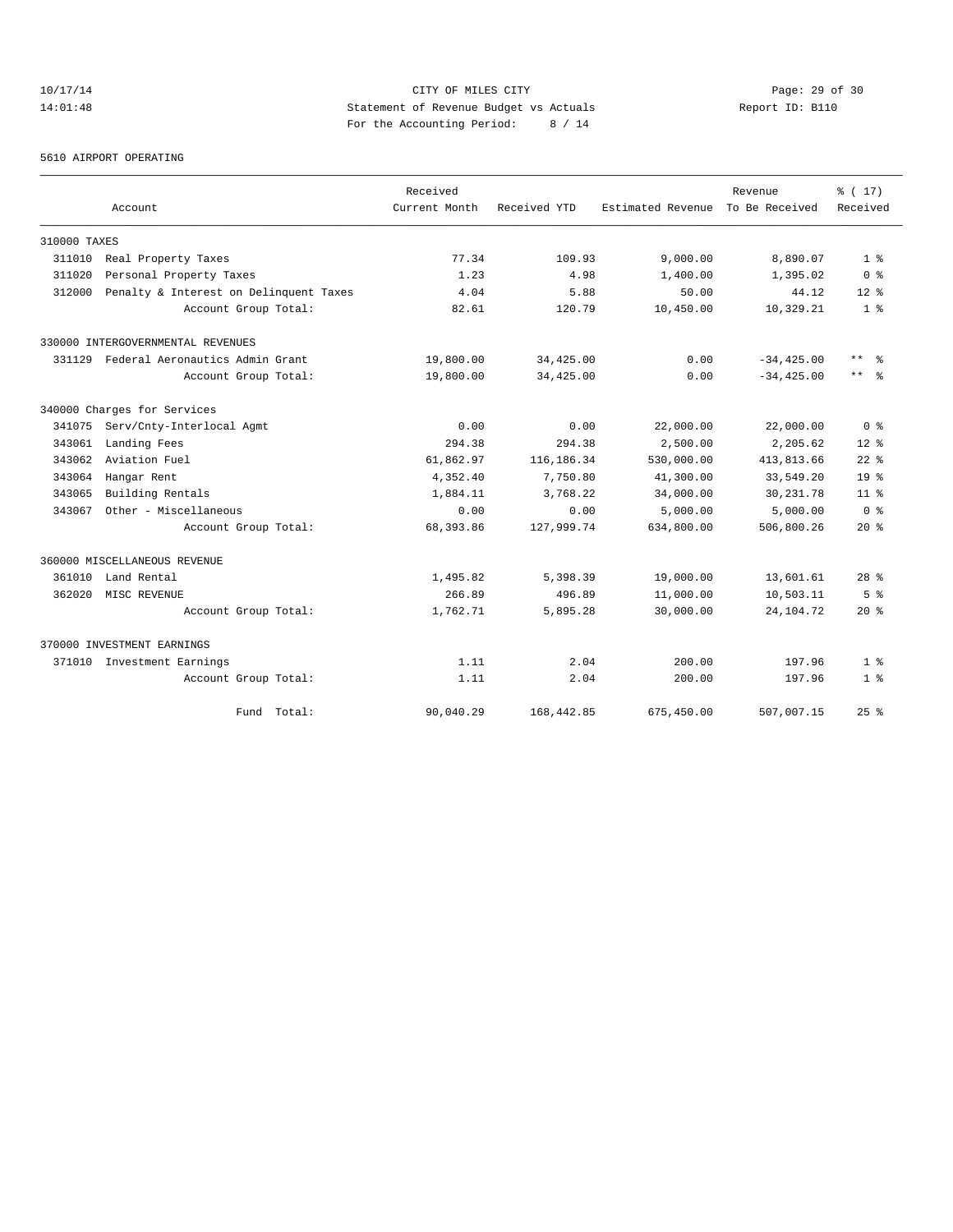# 10/17/14 Page: 29 of 30 14:01:48 Statement of Revenue Budget vs Actuals Report ID: B110 For the Accounting Period: 8 / 14

5610 AIRPORT OPERATING

|              |                                        | Received      |              |                   | Revenue        | % (17)          |
|--------------|----------------------------------------|---------------|--------------|-------------------|----------------|-----------------|
|              | Account                                | Current Month | Received YTD | Estimated Revenue | To Be Received | Received        |
| 310000 TAXES |                                        |               |              |                   |                |                 |
| 311010       | Real Property Taxes                    | 77.34         | 109.93       | 9,000.00          | 8,890.07       | 1 <sup>8</sup>  |
| 311020       | Personal Property Taxes                | 1.23          | 4.98         | 1,400.00          | 1,395.02       | 0 <sup>8</sup>  |
| 312000       | Penalty & Interest on Delinquent Taxes | 4.04          | 5.88         | 50.00             | 44.12          | $12*$           |
|              | Account Group Total:                   | 82.61         | 120.79       | 10,450.00         | 10,329.21      | 1 <sup>8</sup>  |
|              | 330000 INTERGOVERNMENTAL REVENUES      |               |              |                   |                |                 |
| 331129       | Federal Aeronautics Admin Grant        | 19,800.00     | 34,425.00    | 0.00              | $-34, 425.00$  | $***$ $%$       |
|              | Account Group Total:                   | 19,800.00     | 34,425.00    | 0.00              | $-34, 425.00$  | $***$ $ -$      |
|              | 340000 Charges for Services            |               |              |                   |                |                 |
| 341075       | Serv/Cnty-Interlocal Agmt              | 0.00          | 0.00         | 22,000.00         | 22,000.00      | 0 <sup>8</sup>  |
| 343061       | Landing Fees                           | 294.38        | 294.38       | 2,500.00          | 2,205.62       | $12*$           |
| 343062       | Aviation Fuel                          | 61,862.97     | 116,186.34   | 530,000.00        | 413,813.66     | $22$ $%$        |
| 343064       | Hangar Rent                            | 4,352.40      | 7,750.80     | 41,300.00         | 33,549.20      | $19*$           |
| 343065       | Building Rentals                       | 1,884.11      | 3,768.22     | 34,000.00         | 30, 231.78     | 11 <sup>8</sup> |
| 343067       | Other - Miscellaneous                  | 0.00          | 0.00         | 5,000.00          | 5,000.00       | 0 <sup>8</sup>  |
|              | Account Group Total:                   | 68,393.86     | 127,999.74   | 634,800.00        | 506,800.26     | $20*$           |
|              | 360000 MISCELLANEOUS REVENUE           |               |              |                   |                |                 |
| 361010       | Land Rental                            | 1,495.82      | 5,398.39     | 19,000.00         | 13,601.61      | 28 <sup>8</sup> |
| 362020       | MISC REVENUE                           | 266.89        | 496.89       | 11,000.00         | 10,503.11      | 5 <sup>8</sup>  |
|              | Account Group Total:                   | 1,762.71      | 5,895.28     | 30,000.00         | 24, 104. 72    | $20*$           |
|              | 370000 INVESTMENT EARNINGS             |               |              |                   |                |                 |
|              | 371010 Investment Earnings             | 1.11          | 2.04         | 200.00            | 197.96         | 1 <sup>8</sup>  |
|              | Account Group Total:                   | 1.11          | 2.04         | 200.00            | 197.96         | 1 <sup>8</sup>  |
|              | Fund Total:                            | 90,040.29     | 168,442.85   | 675,450.00        | 507,007.15     | $25$ $%$        |